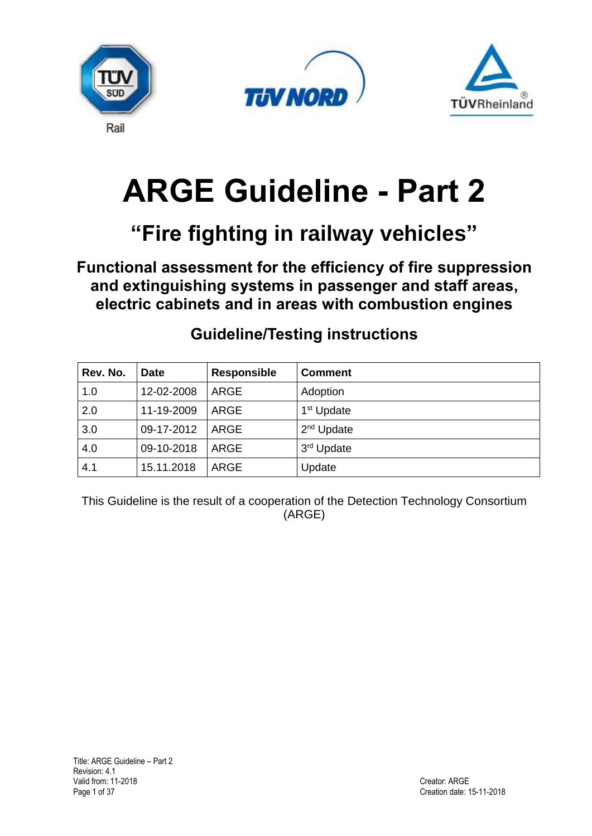





# **ARGE Guideline - Part 2**

# **"Fire fighting in railway vehicles"**

**Functional assessment for the efficiency of fire suppression and extinguishing systems in passenger and staff areas, electric cabinets and in areas with combustion engines**

| Rev. No. | Date       | <b>Responsible</b> | <b>Comment</b>         |
|----------|------------|--------------------|------------------------|
| 1.0      | 12-02-2008 | ARGE               | Adoption               |
| 2.0      | 11-19-2009 | ARGE               | 1 <sup>st</sup> Update |
| 3.0      | 09-17-2012 | ARGE               | $2nd$ Update           |
| 4.0      | 09-10-2018 | ARGE               | 3rd Update             |
| 4.1      | 15.11.2018 | <b>ARGE</b>        | Update                 |

# **Guideline/Testing instructions**

This Guideline is the result of a cooperation of the Detection Technology Consortium (ARGE)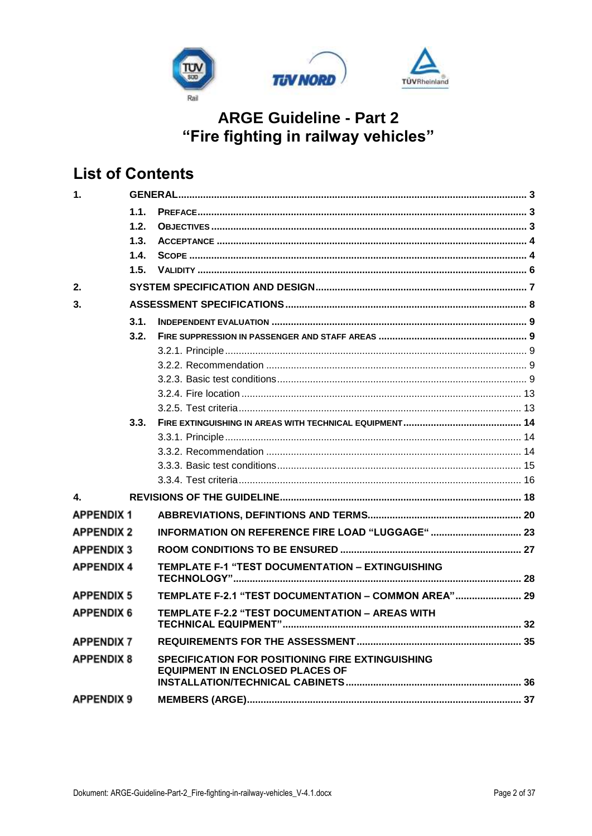

# **List of Contents**

| $\mathbf{1}$      |      |                                                                                            |  |
|-------------------|------|--------------------------------------------------------------------------------------------|--|
|                   | 1.1. |                                                                                            |  |
|                   | 1.2. |                                                                                            |  |
|                   | 1.3. |                                                                                            |  |
|                   | 1.4. |                                                                                            |  |
|                   | 1.5. |                                                                                            |  |
| 2.                |      |                                                                                            |  |
| 3.                |      |                                                                                            |  |
|                   | 3.1. |                                                                                            |  |
|                   | 3.2. |                                                                                            |  |
|                   |      |                                                                                            |  |
|                   |      |                                                                                            |  |
|                   |      |                                                                                            |  |
|                   |      |                                                                                            |  |
|                   |      |                                                                                            |  |
|                   | 3.3. |                                                                                            |  |
|                   |      |                                                                                            |  |
|                   |      |                                                                                            |  |
|                   |      |                                                                                            |  |
|                   |      |                                                                                            |  |
| 4.                |      |                                                                                            |  |
| <b>APPENDIX1</b>  |      |                                                                                            |  |
| <b>APPENDIX 2</b> |      | INFORMATION ON REFERENCE FIRE LOAD "LUGGAGE"  23                                           |  |
| <b>APPENDIX 3</b> |      |                                                                                            |  |
| <b>APPENDIX 4</b> |      | TEMPLATE F-1 "TEST DOCUMENTATION - EXTINGUISHING                                           |  |
| <b>APPENDIX 5</b> |      | TEMPLATE F-2.1 "TEST DOCUMENTATION - COMMON AREA" 29                                       |  |
| <b>APPENDIX 6</b> |      | TEMPLATE F-2.2 "TEST DOCUMENTATION - AREAS WITH                                            |  |
| <b>APPENDIX 7</b> |      |                                                                                            |  |
| <b>APPENDIX 8</b> |      | SPECIFICATION FOR POSITIONING FIRE EXTINGUISHING<br><b>EQUIPMENT IN ENCLOSED PLACES OF</b> |  |
| <b>APPENDIX 9</b> |      |                                                                                            |  |
|                   |      |                                                                                            |  |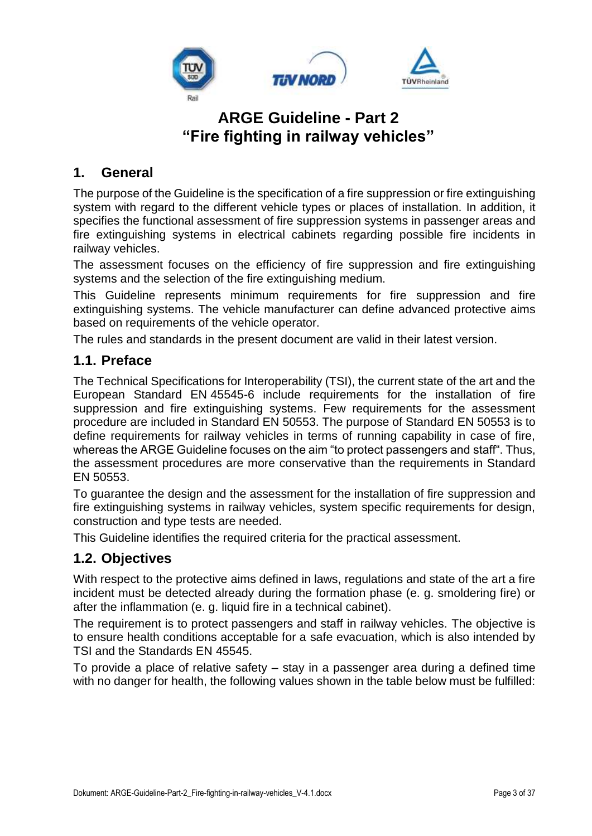

#### <span id="page-2-0"></span>**1. General**

The purpose of the Guideline is the specification of a fire suppression or fire extinguishing system with regard to the different vehicle types or places of installation. In addition, it specifies the functional assessment of fire suppression systems in passenger areas and fire extinguishing systems in electrical cabinets regarding possible fire incidents in railway vehicles.

The assessment focuses on the efficiency of fire suppression and fire extinguishing systems and the selection of the fire extinguishing medium.

This Guideline represents minimum requirements for fire suppression and fire extinguishing systems. The vehicle manufacturer can define advanced protective aims based on requirements of the vehicle operator.

The rules and standards in the present document are valid in their latest version.

#### <span id="page-2-1"></span>**1.1. Preface**

The Technical Specifications for Interoperability (TSI), the current state of the art and the European Standard EN 45545-6 include requirements for the installation of fire suppression and fire extinguishing systems. Few requirements for the assessment procedure are included in Standard EN 50553. The purpose of Standard EN 50553 is to define requirements for railway vehicles in terms of running capability in case of fire, whereas the ARGE Guideline focuses on the aim "to protect passengers and staff". Thus, the assessment procedures are more conservative than the requirements in Standard EN 50553.

To guarantee the design and the assessment for the installation of fire suppression and fire extinguishing systems in railway vehicles, system specific requirements for design, construction and type tests are needed.

This Guideline identifies the required criteria for the practical assessment.

### <span id="page-2-2"></span>**1.2. Objectives**

With respect to the protective aims defined in laws, regulations and state of the art a fire incident must be detected already during the formation phase (e. g. smoldering fire) or after the inflammation (e. g. liquid fire in a technical cabinet).

The requirement is to protect passengers and staff in railway vehicles. The objective is to ensure health conditions acceptable for a safe evacuation, which is also intended by TSI and the Standards EN 45545.

To provide a place of relative safety – stay in a passenger area during a defined time with no danger for health, the following values shown in the table below must be fulfilled: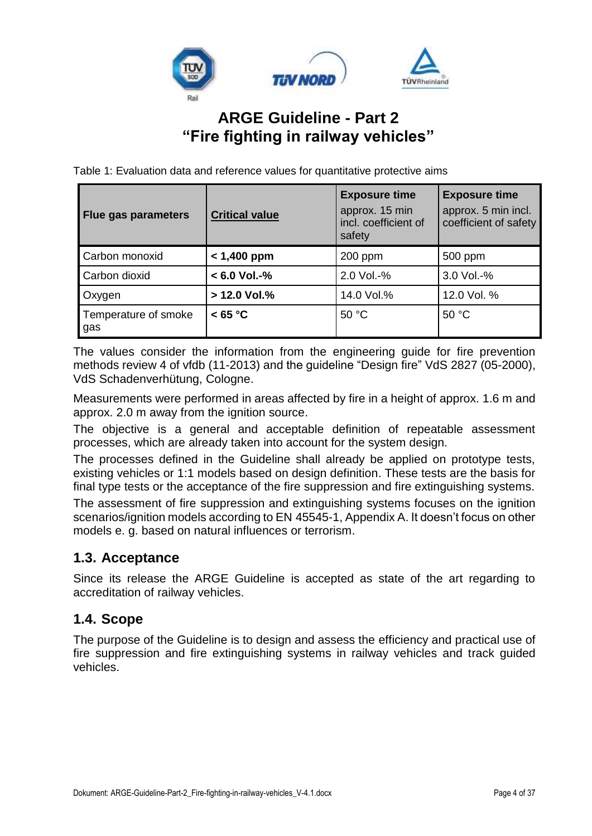

Table 1: Evaluation data and reference values for quantitative protective aims

| <b>Flue gas parameters</b>  | <b>Critical value</b> | <b>Exposure time</b><br>approx. 15 min<br>incl. coefficient of<br>safety | <b>Exposure time</b><br>approx. 5 min incl.<br>coefficient of safety |
|-----------------------------|-----------------------|--------------------------------------------------------------------------|----------------------------------------------------------------------|
| Carbon monoxid              | $< 1,400$ ppm         | 200 ppm                                                                  | 500 ppm                                                              |
| Carbon dioxid               | $< 6.0$ Vol.-%        | 2.0 Vol.-%                                                               | 3.0 Vol.-%                                                           |
| Oxygen                      | > 12.0 Vol.%          | 14.0 Vol.%                                                               | 12.0 Vol. %                                                          |
| Temperature of smoke<br>gas | < 65 °C               | 50 °C                                                                    | 50 °C                                                                |

The values consider the information from the engineering guide for fire prevention methods review 4 of vfdb (11-2013) and the guideline "Design fire" VdS 2827 (05-2000), VdS Schadenverhütung, Cologne.

Measurements were performed in areas affected by fire in a height of approx. 1.6 m and approx. 2.0 m away from the ignition source.

The objective is a general and acceptable definition of repeatable assessment processes, which are already taken into account for the system design.

The processes defined in the Guideline shall already be applied on prototype tests, existing vehicles or 1:1 models based on design definition. These tests are the basis for final type tests or the acceptance of the fire suppression and fire extinguishing systems.

The assessment of fire suppression and extinguishing systems focuses on the ignition scenarios/ignition models according to EN 45545-1, Appendix A. It doesn't focus on other models e. g. based on natural influences or terrorism.

#### <span id="page-3-0"></span>**1.3. Acceptance**

Since its release the ARGE Guideline is accepted as state of the art regarding to accreditation of railway vehicles.

### <span id="page-3-1"></span>**1.4. Scope**

The purpose of the Guideline is to design and assess the efficiency and practical use of fire suppression and fire extinguishing systems in railway vehicles and track guided vehicles.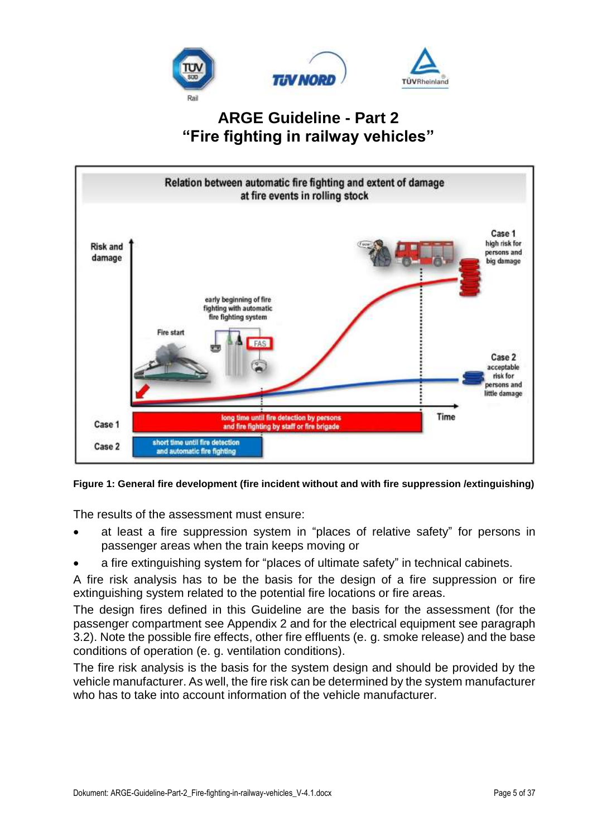



#### **Figure 1: General fire development (fire incident without and with fire suppression /extinguishing)**

The results of the assessment must ensure:

- at least a fire suppression system in "places of relative safety" for persons in passenger areas when the train keeps moving or
- a fire extinguishing system for "places of ultimate safety" in technical cabinets.

A fire risk analysis has to be the basis for the design of a fire suppression or fire extinguishing system related to the potential fire locations or fire areas.

The design fires defined in this Guideline are the basis for the assessment (for the passenger compartment see [Appendix](#page-22-0) 2 and for the electrical equipment see paragraph 3.2). Note the possible fire effects, other fire effluents (e. g. smoke release) and the base conditions of operation (e. g. ventilation conditions).

The fire risk analysis is the basis for the system design and should be provided by the vehicle manufacturer. As well, the fire risk can be determined by the system manufacturer who has to take into account information of the vehicle manufacturer.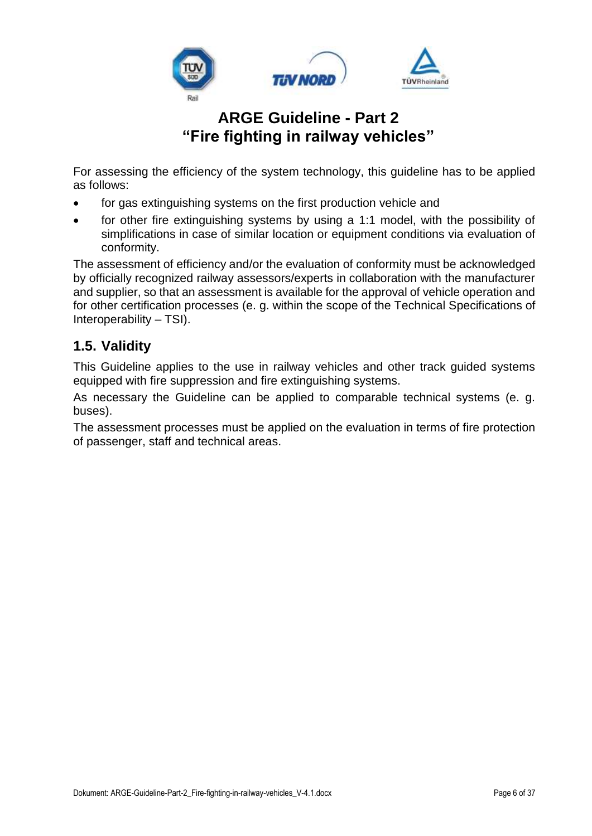

For assessing the efficiency of the system technology, this guideline has to be applied as follows:

- for gas extinguishing systems on the first production vehicle and
- for other fire extinguishing systems by using a 1:1 model, with the possibility of simplifications in case of similar location or equipment conditions via evaluation of conformity.

The assessment of efficiency and/or the evaluation of conformity must be acknowledged by officially recognized railway assessors/experts in collaboration with the manufacturer and supplier, so that an assessment is available for the approval of vehicle operation and for other certification processes (e. g. within the scope of the Technical Specifications of Interoperability – TSI).

### <span id="page-5-0"></span>**1.5. Validity**

This Guideline applies to the use in railway vehicles and other track guided systems equipped with fire suppression and fire extinguishing systems.

As necessary the Guideline can be applied to comparable technical systems (e. g. buses).

The assessment processes must be applied on the evaluation in terms of fire protection of passenger, staff and technical areas.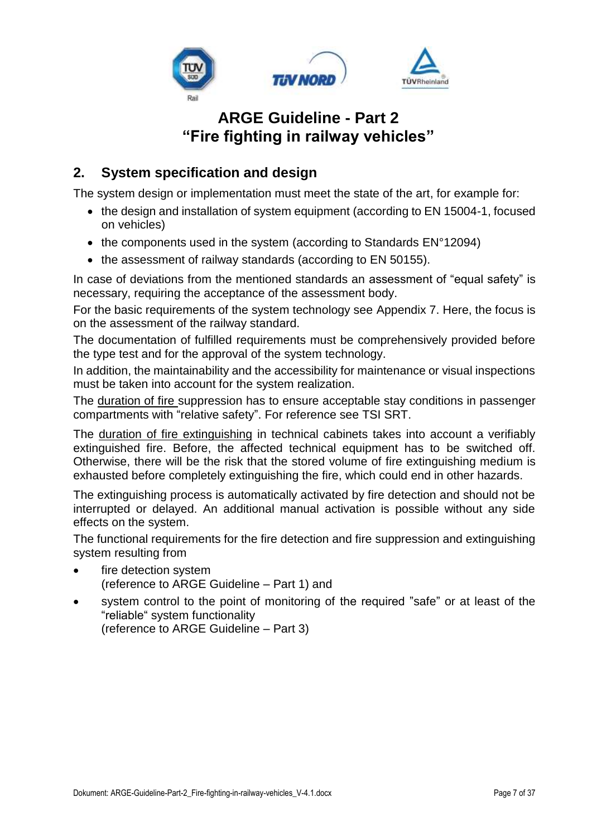

### <span id="page-6-0"></span>**2. System specification and design**

The system design or implementation must meet the state of the art, for example for:

- the design and installation of system equipment (according to EN 15004-1, focused on vehicles)
- the components used in the system (according to Standards EN°12094)
- the assessment of railway standards (according to EN 50155).

In case of deviations from the mentioned standards an assessment of "equal safety" is necessary, requiring the acceptance of the assessment body.

For the basic requirements of the system technology see [Appendix](#page-34-0) 7. Here, the focus is on the assessment of the railway standard.

The documentation of fulfilled requirements must be comprehensively provided before the type test and for the approval of the system technology.

In addition, the maintainability and the accessibility for maintenance or visual inspections must be taken into account for the system realization.

The duration of fire suppression has to ensure acceptable stay conditions in passenger compartments with "relative safety". For reference see TSI SRT.

The duration of fire extinguishing in technical cabinets takes into account a verifiably extinguished fire. Before, the affected technical equipment has to be switched off. Otherwise, there will be the risk that the stored volume of fire extinguishing medium is exhausted before completely extinguishing the fire, which could end in other hazards.

The extinguishing process is automatically activated by fire detection and should not be interrupted or delayed. An additional manual activation is possible without any side effects on the system.

The functional requirements for the fire detection and fire suppression and extinguishing system resulting from

- fire detection system (reference to ARGE Guideline – Part 1) and
- system control to the point of monitoring of the required "safe" or at least of the "reliable" system functionality (reference to ARGE Guideline – Part 3)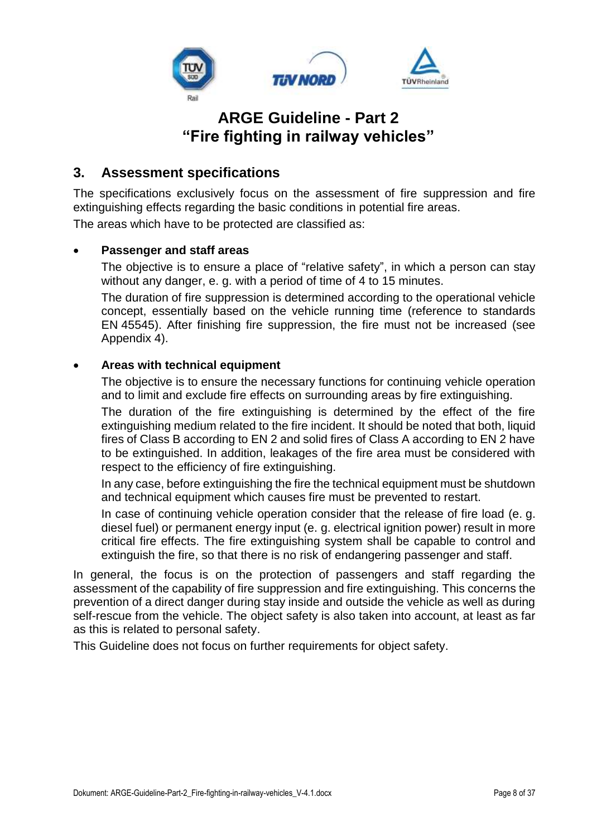

#### <span id="page-7-0"></span>**3. Assessment specifications**

The specifications exclusively focus on the assessment of fire suppression and fire extinguishing effects regarding the basic conditions in potential fire areas.

The areas which have to be protected are classified as:

#### • **Passenger and staff areas**

The objective is to ensure a place of "relative safety", in which a person can stay without any danger, e. g. with a period of time of 4 to 15 minutes.

The duration of fire suppression is determined according to the operational vehicle concept, essentially based on the vehicle running time (reference to standards EN 45545). After finishing fire suppression, the fire must not be increased (see Appendix 4).

#### • **Areas with technical equipment**

The objective is to ensure the necessary functions for continuing vehicle operation and to limit and exclude fire effects on surrounding areas by fire extinguishing.

The duration of the fire extinguishing is determined by the effect of the fire extinguishing medium related to the fire incident. It should be noted that both, liquid fires of Class B according to EN 2 and solid fires of Class A according to EN 2 have to be extinguished. In addition, leakages of the fire area must be considered with respect to the efficiency of fire extinguishing.

In any case, before extinguishing the fire the technical equipment must be shutdown and technical equipment which causes fire must be prevented to restart.

In case of continuing vehicle operation consider that the release of fire load (e. g. diesel fuel) or permanent energy input (e. g. electrical ignition power) result in more critical fire effects. The fire extinguishing system shall be capable to control and extinguish the fire, so that there is no risk of endangering passenger and staff.

In general, the focus is on the protection of passengers and staff regarding the assessment of the capability of fire suppression and fire extinguishing. This concerns the prevention of a direct danger during stay inside and outside the vehicle as well as during self-rescue from the vehicle. The object safety is also taken into account, at least as far as this is related to personal safety.

This Guideline does not focus on further requirements for object safety.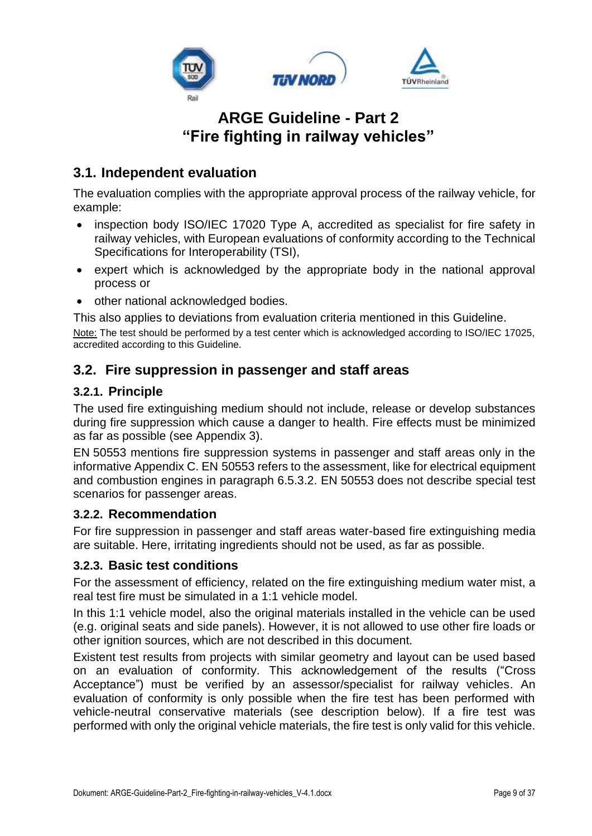

### <span id="page-8-0"></span>**3.1. Independent evaluation**

The evaluation complies with the appropriate approval process of the railway vehicle, for example:

- inspection body ISO/IEC 17020 Type A, accredited as specialist for fire safety in railway vehicles, with European evaluations of conformity according to the Technical Specifications for Interoperability (TSI),
- expert which is acknowledged by the appropriate body in the national approval process or
- other national acknowledged bodies.

This also applies to deviations from evaluation criteria mentioned in this Guideline.

Note: The test should be performed by a test center which is acknowledged according to ISO/IEC 17025, accredited according to this Guideline.

### <span id="page-8-1"></span>**3.2. Fire suppression in passenger and staff areas**

#### <span id="page-8-2"></span>**3.2.1. Principle**

The used fire extinguishing medium should not include, release or develop substances during fire suppression which cause a danger to health. Fire effects must be minimized as far as possible (see [Appendix](#page-26-0) 3).

EN 50553 mentions fire suppression systems in passenger and staff areas only in the informative Appendix C. EN 50553 refers to the assessment, like for electrical equipment and combustion engines in paragraph 6.5.3.2. EN 50553 does not describe special test scenarios for passenger areas.

#### <span id="page-8-3"></span>**3.2.2. Recommendation**

For fire suppression in passenger and staff areas water-based fire extinguishing media are suitable. Here, irritating ingredients should not be used, as far as possible.

#### <span id="page-8-4"></span>**3.2.3. Basic test conditions**

For the assessment of efficiency, related on the fire extinguishing medium water mist, a real test fire must be simulated in a 1:1 vehicle model.

In this 1:1 vehicle model, also the original materials installed in the vehicle can be used (e.g. original seats and side panels). However, it is not allowed to use other fire loads or other ignition sources, which are not described in this document.

Existent test results from projects with similar geometry and layout can be used based on an evaluation of conformity. This acknowledgement of the results ("Cross Acceptance") must be verified by an assessor/specialist for railway vehicles. An evaluation of conformity is only possible when the fire test has been performed with vehicle-neutral conservative materials (see description below). If a fire test was performed with only the original vehicle materials, the fire test is only valid for this vehicle.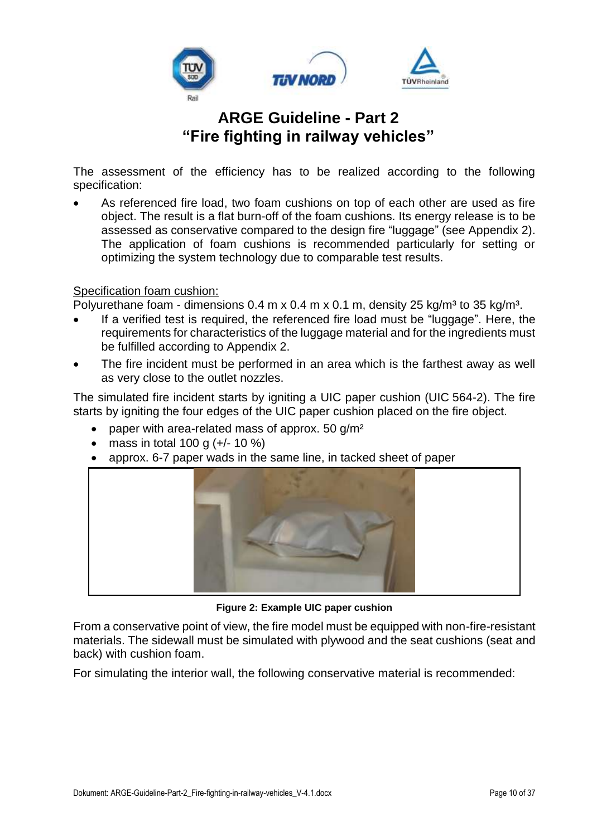

The assessment of the efficiency has to be realized according to the following specification:

• As referenced fire load, two foam cushions on top of each other are used as fire object. The result is a flat burn-off of the foam cushions. Its energy release is to be assessed as conservative compared to the design fire "luggage" (see [Appendix](#page-22-0) 2). The application of foam cushions is recommended particularly for setting or optimizing the system technology due to comparable test results.

#### Specification foam cushion:

Polyurethane foam - dimensions  $0.4$  m x  $0.4$  m x  $0.1$  m, density  $25$  kg/m<sup>3</sup> to  $35$  kg/m<sup>3</sup>.

- If a verified test is required, the referenced fire load must be "luggage". Here, the requirements for characteristics of the luggage material and for the ingredients must be fulfilled according to [Appendix](#page-22-0) 2.
- The fire incident must be performed in an area which is the farthest away as well as very close to the outlet nozzles.

The simulated fire incident starts by igniting a UIC paper cushion (UIC 564-2). The fire starts by igniting the four edges of the UIC paper cushion placed on the fire object.

- paper with area-related mass of approx.  $50$  g/m<sup>2</sup>
- mass in total 100 g  $(+/- 10\%)$
- approx. 6-7 paper wads in the same line, in tacked sheet of paper



**Figure 2: Example UIC paper cushion**

From a conservative point of view, the fire model must be equipped with non-fire-resistant materials. The sidewall must be simulated with plywood and the seat cushions (seat and back) with cushion foam.

For simulating the interior wall, the following conservative material is recommended: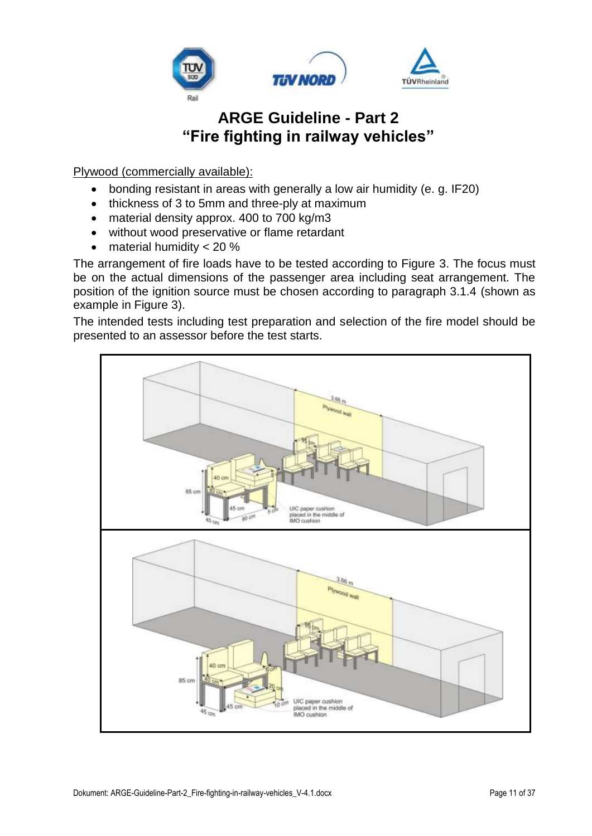

Plywood (commercially available):

- bonding resistant in areas with generally a low air humidity (e. g. IF20)
- thickness of 3 to 5mm and three-ply at maximum
- material density approx. 400 to 700 kg/m3
- without wood preservative or flame retardant
- material humidity  $< 20 %$

The arrangement of fire loads have to be tested according to Figure 3. The focus must be on the actual dimensions of the passenger area including seat arrangement. The position of the ignition source must be chosen according to paragraph 3.1.4 (shown as example in Figure 3).

The intended tests including test preparation and selection of the fire model should be presented to an assessor before the test starts.

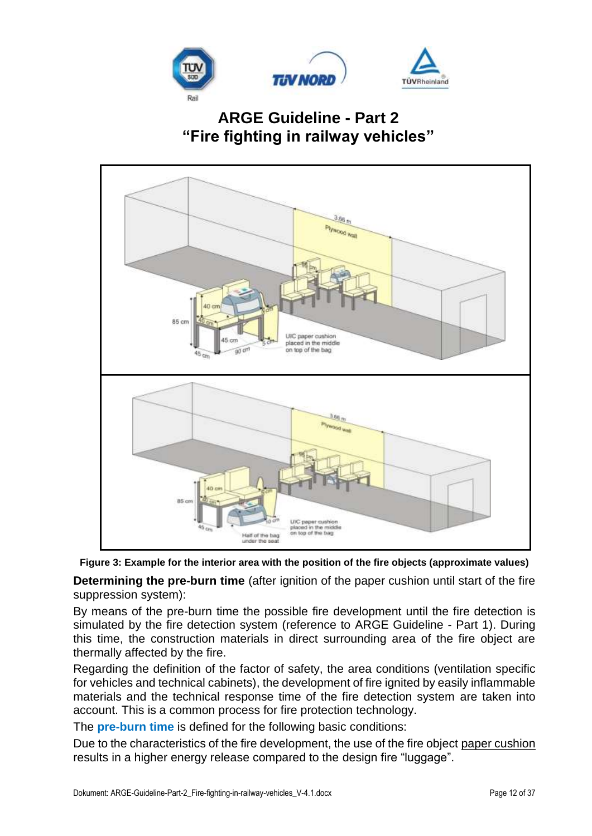



**Figure 3: Example for the interior area with the position of the fire objects (approximate values)**

**Determining the pre-burn time** (after ignition of the paper cushion until start of the fire suppression system):

By means of the pre-burn time the possible fire development until the fire detection is simulated by the fire detection system (reference to ARGE Guideline - Part 1). During this time, the construction materials in direct surrounding area of the fire object are thermally affected by the fire.

Regarding the definition of the factor of safety, the area conditions (ventilation specific for vehicles and technical cabinets), the development of fire ignited by easily inflammable materials and the technical response time of the fire detection system are taken into account. This is a common process for fire protection technology.

The **pre-burn time** is defined for the following basic conditions:

Due to the characteristics of the fire development, the use of the fire object paper cushion results in a higher energy release compared to the design fire "luggage".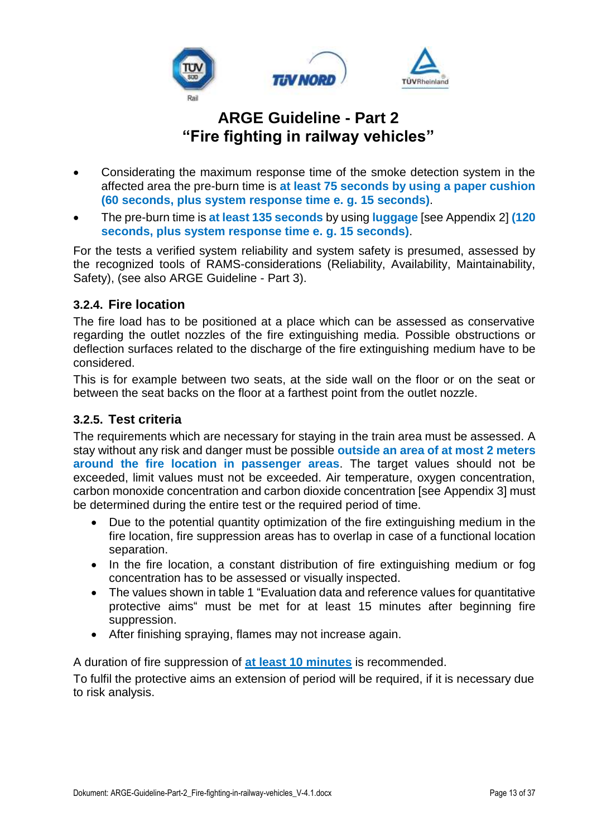

- Considerating the maximum response time of the smoke detection system in the affected area the pre-burn time is **at least 75 seconds by using a paper cushion (60 seconds, plus system response time e. g. 15 seconds)**.
- The pre-burn time is **at least 135 seconds** by using **luggage** [see [Appendix](#page-22-0) 2] **(120 seconds, plus system response time e. g. 15 seconds)**.

For the tests a verified system reliability and system safety is presumed, assessed by the recognized tools of RAMS-considerations (Reliability, Availability, Maintainability, Safety), (see also ARGE Guideline - Part 3).

#### <span id="page-12-0"></span>**3.2.4. Fire location**

The fire load has to be positioned at a place which can be assessed as conservative regarding the outlet nozzles of the fire extinguishing media. Possible obstructions or deflection surfaces related to the discharge of the fire extinguishing medium have to be considered.

This is for example between two seats, at the side wall on the floor or on the seat or between the seat backs on the floor at a farthest point from the outlet nozzle.

#### <span id="page-12-1"></span>**3.2.5. Test criteria**

The requirements which are necessary for staying in the train area must be assessed. A stay without any risk and danger must be possible **outside an area of at most 2 meters around the fire location in passenger areas**. The target values should not be exceeded, limit values must not be exceeded. Air temperature, oxygen concentration, carbon monoxide concentration and carbon dioxide concentration [see [Appendix](#page-26-0) 3] must be determined during the entire test or the required period of time.

- Due to the potential quantity optimization of the fire extinguishing medium in the fire location, fire suppression areas has to overlap in case of a functional location separation.
- In the fire location, a constant distribution of fire extinguishing medium or fog concentration has to be assessed or visually inspected.
- The values shown in table 1 "Evaluation data and reference values for quantitative protective aims" must be met for at least 15 minutes after beginning fire suppression.
- After finishing spraying, flames may not increase again.

A duration of fire suppression of **at least 10 minutes** is recommended.

To fulfil the protective aims an extension of period will be required, if it is necessary due to risk analysis.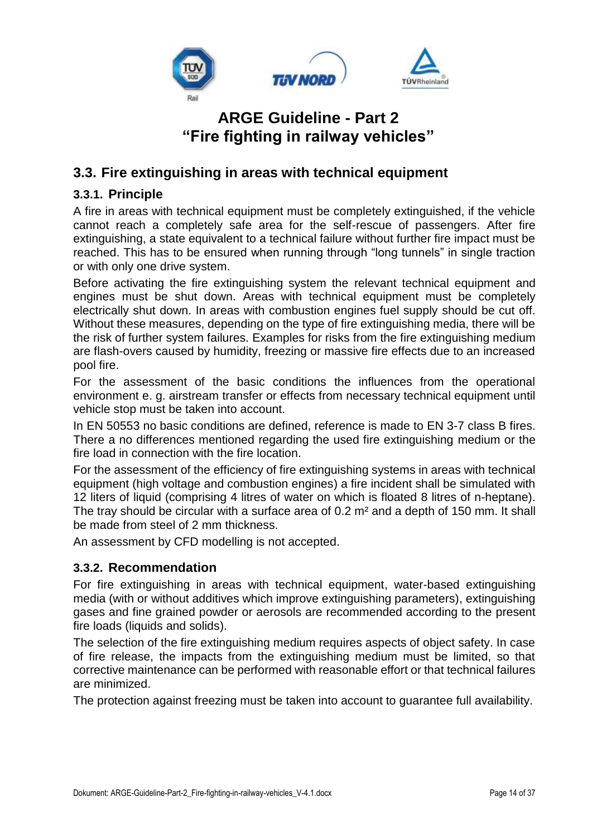

### <span id="page-13-0"></span>**3.3. Fire extinguishing in areas with technical equipment**

#### <span id="page-13-1"></span>**3.3.1. Principle**

A fire in areas with technical equipment must be completely extinguished, if the vehicle cannot reach a completely safe area for the self-rescue of passengers. After fire extinguishing, a state equivalent to a technical failure without further fire impact must be reached. This has to be ensured when running through "long tunnels" in single traction or with only one drive system.

Before activating the fire extinguishing system the relevant technical equipment and engines must be shut down. Areas with technical equipment must be completely electrically shut down. In areas with combustion engines fuel supply should be cut off. Without these measures, depending on the type of fire extinguishing media, there will be the risk of further system failures. Examples for risks from the fire extinguishing medium are flash-overs caused by humidity, freezing or massive fire effects due to an increased pool fire.

For the assessment of the basic conditions the influences from the operational environment e. g. airstream transfer or effects from necessary technical equipment until vehicle stop must be taken into account.

In EN 50553 no basic conditions are defined, reference is made to EN 3-7 class B fires. There a no differences mentioned regarding the used fire extinguishing medium or the fire load in connection with the fire location.

For the assessment of the efficiency of fire extinguishing systems in areas with technical equipment (high voltage and combustion engines) a fire incident shall be simulated with 12 liters of liquid (comprising 4 litres of water on which is floated 8 litres of n-heptane). The tray should be circular with a surface area of 0.2 m<sup>2</sup> and a depth of 150 mm. It shall be made from steel of 2 mm thickness.

An assessment by CFD modelling is not accepted.

#### <span id="page-13-2"></span>**3.3.2. Recommendation**

For fire extinguishing in areas with technical equipment, water-based extinguishing media (with or without additives which improve extinguishing parameters), extinguishing gases and fine grained powder or aerosols are recommended according to the present fire loads (liquids and solids).

The selection of the fire extinguishing medium requires aspects of object safety. In case of fire release, the impacts from the extinguishing medium must be limited, so that corrective maintenance can be performed with reasonable effort or that technical failures are minimized.

The protection against freezing must be taken into account to guarantee full availability.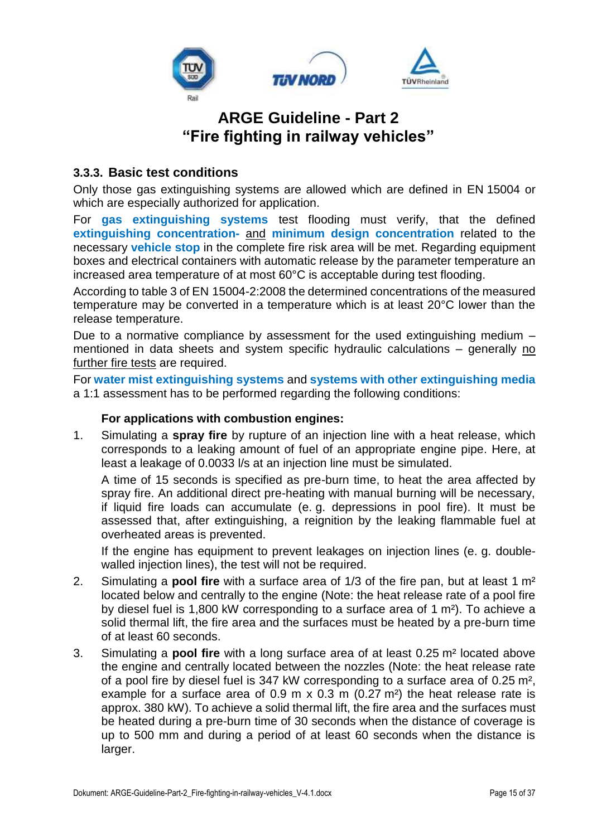

#### <span id="page-14-0"></span>**3.3.3. Basic test conditions**

Only those gas extinguishing systems are allowed which are defined in EN 15004 or which are especially authorized for application.

For **gas extinguishing systems** test flooding must verify, that the defined **extinguishing concentration-** and **minimum design concentration** related to the necessary **vehicle stop** in the complete fire risk area will be met. Regarding equipment boxes and electrical containers with automatic release by the parameter temperature an increased area temperature of at most 60°C is acceptable during test flooding.

According to table 3 of EN 15004-2:2008 the determined concentrations of the measured temperature may be converted in a temperature which is at least 20°C lower than the release temperature.

Due to a normative compliance by assessment for the used extinguishing medium – mentioned in data sheets and system specific hydraulic calculations – generally no further fire tests are required.

For **water mist extinguishing systems** and **systems with other extinguishing media** a 1:1 assessment has to be performed regarding the following conditions:

#### **For applications with combustion engines:**

1. Simulating a **spray fire** by rupture of an injection line with a heat release, which corresponds to a leaking amount of fuel of an appropriate engine pipe. Here, at least a leakage of 0.0033 l/s at an injection line must be simulated.

A time of 15 seconds is specified as pre-burn time, to heat the area affected by spray fire. An additional direct pre-heating with manual burning will be necessary, if liquid fire loads can accumulate (e. g. depressions in pool fire). It must be assessed that, after extinguishing, a reignition by the leaking flammable fuel at overheated areas is prevented.

If the engine has equipment to prevent leakages on injection lines (e. g. doublewalled injection lines), the test will not be required.

- 2. Simulating a **pool fire** with a surface area of 1/3 of the fire pan, but at least 1 m² located below and centrally to the engine (Note: the heat release rate of a pool fire by diesel fuel is 1,800 kW corresponding to a surface area of 1 m²). To achieve a solid thermal lift, the fire area and the surfaces must be heated by a pre-burn time of at least 60 seconds.
- 3. Simulating a **pool fire** with a long surface area of at least 0.25 m² located above the engine and centrally located between the nozzles (Note: the heat release rate of a pool fire by diesel fuel is 347 kW corresponding to a surface area of 0.25 m², example for a surface area of  $0.9$  m x  $0.3$  m  $(0.27 \text{ m}^2)$  the heat release rate is approx. 380 kW). To achieve a solid thermal lift, the fire area and the surfaces must be heated during a pre-burn time of 30 seconds when the distance of coverage is up to 500 mm and during a period of at least 60 seconds when the distance is larger.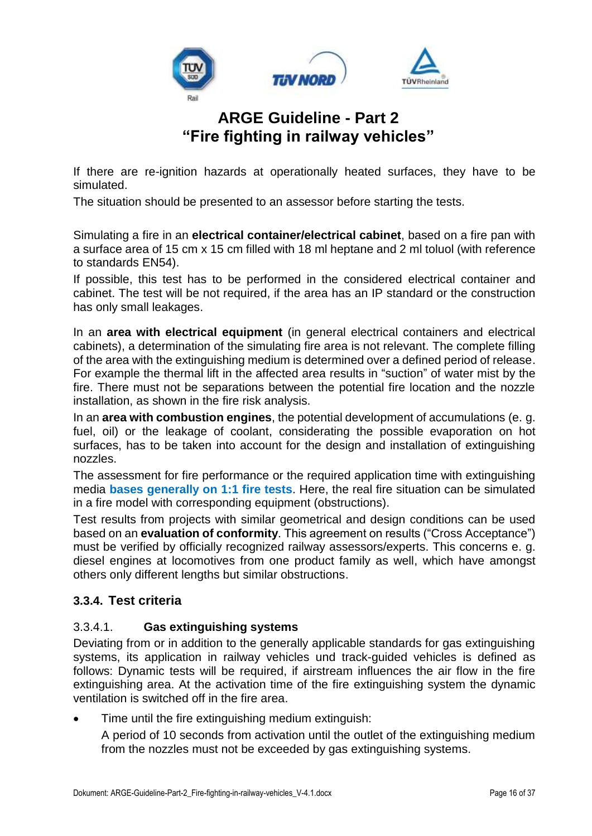

If there are re-ignition hazards at operationally heated surfaces, they have to be simulated.

The situation should be presented to an assessor before starting the tests.

Simulating a fire in an **electrical container/electrical cabinet**, based on a fire pan with a surface area of 15 cm x 15 cm filled with 18 ml heptane and 2 ml toluol (with reference to standards EN54).

If possible, this test has to be performed in the considered electrical container and cabinet. The test will be not required, if the area has an IP standard or the construction has only small leakages.

In an **area with electrical equipment** (in general electrical containers and electrical cabinets), a determination of the simulating fire area is not relevant. The complete filling of the area with the extinguishing medium is determined over a defined period of release. For example the thermal lift in the affected area results in "suction" of water mist by the fire. There must not be separations between the potential fire location and the nozzle installation, as shown in the fire risk analysis.

In an **area with combustion engines**, the potential development of accumulations (e. g. fuel, oil) or the leakage of coolant, considerating the possible evaporation on hot surfaces, has to be taken into account for the design and installation of extinguishing nozzles.

The assessment for fire performance or the required application time with extinguishing media **bases generally on 1:1 fire tests**. Here, the real fire situation can be simulated in a fire model with corresponding equipment (obstructions).

Test results from projects with similar geometrical and design conditions can be used based on an **evaluation of conformity**. This agreement on results ("Cross Acceptance") must be verified by officially recognized railway assessors/experts. This concerns e. g. diesel engines at locomotives from one product family as well, which have amongst others only different lengths but similar obstructions.

#### <span id="page-15-0"></span>**3.3.4. Test criteria**

#### 3.3.4.1. **Gas extinguishing systems**

Deviating from or in addition to the generally applicable standards for gas extinguishing systems, its application in railway vehicles und track-guided vehicles is defined as follows: Dynamic tests will be required, if airstream influences the air flow in the fire extinguishing area. At the activation time of the fire extinguishing system the dynamic ventilation is switched off in the fire area.

• Time until the fire extinguishing medium extinguish:

A period of 10 seconds from activation until the outlet of the extinguishing medium from the nozzles must not be exceeded by gas extinguishing systems.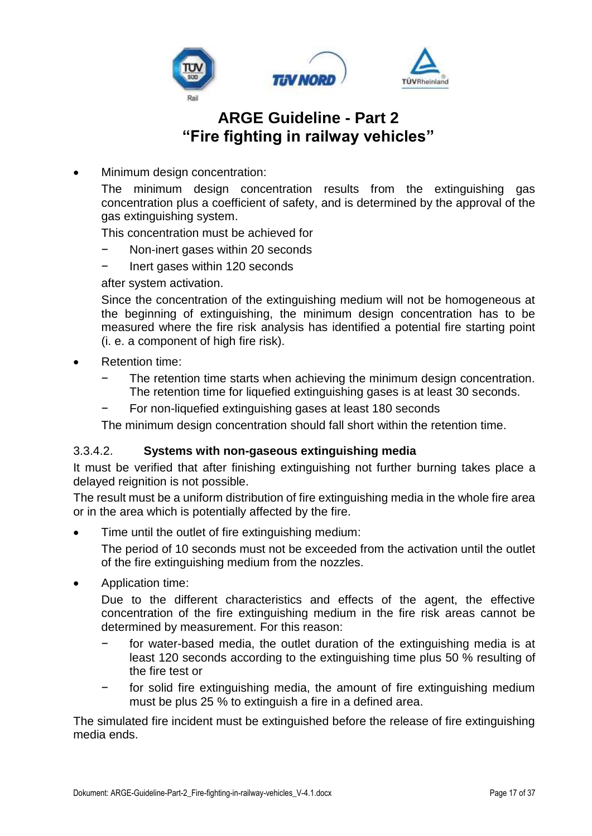

Minimum design concentration:

The minimum design concentration results from the extinguishing gas concentration plus a coefficient of safety, and is determined by the approval of the gas extinguishing system.

This concentration must be achieved for

- Non-inert gases within 20 seconds
- − Inert gases within 120 seconds

after system activation.

Since the concentration of the extinguishing medium will not be homogeneous at the beginning of extinguishing, the minimum design concentration has to be measured where the fire risk analysis has identified a potential fire starting point (i. e. a component of high fire risk).

- Retention time:
	- The retention time starts when achieving the minimum design concentration. The retention time for liquefied extinguishing gases is at least 30 seconds.
	- For non-liquefied extinguishing gases at least 180 seconds

The minimum design concentration should fall short within the retention time.

#### 3.3.4.2. **Systems with non-gaseous extinguishing media**

It must be verified that after finishing extinguishing not further burning takes place a delayed reignition is not possible.

The result must be a uniform distribution of fire extinguishing media in the whole fire area or in the area which is potentially affected by the fire.

Time until the outlet of fire extinguishing medium:

The period of 10 seconds must not be exceeded from the activation until the outlet of the fire extinguishing medium from the nozzles.

• Application time:

Due to the different characteristics and effects of the agent, the effective concentration of the fire extinguishing medium in the fire risk areas cannot be determined by measurement. For this reason:

- − for water-based media, the outlet duration of the extinguishing media is at least 120 seconds according to the extinguishing time plus 50 % resulting of the fire test or
- for solid fire extinguishing media, the amount of fire extinguishing medium must be plus 25 % to extinguish a fire in a defined area.

The simulated fire incident must be extinguished before the release of fire extinguishing media ends.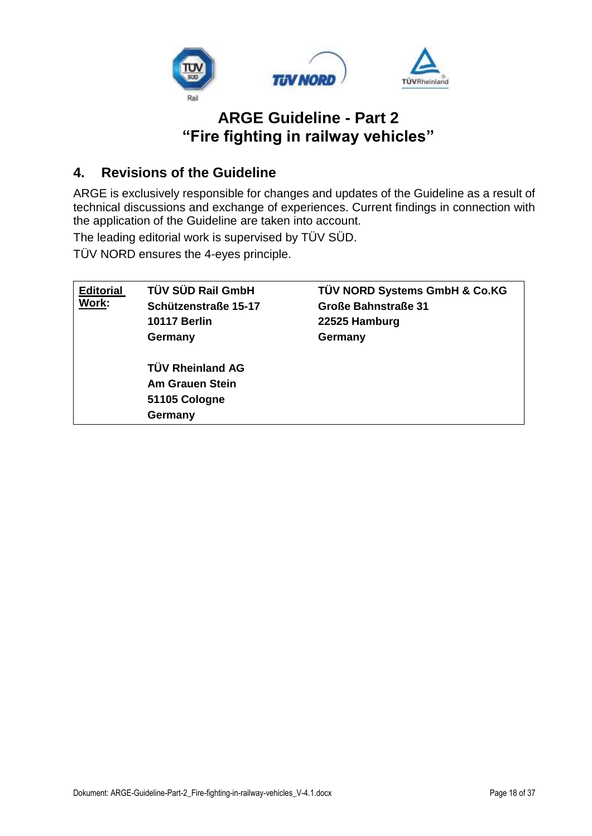

### <span id="page-17-0"></span>**4. Revisions of the Guideline**

ARGE is exclusively responsible for changes and updates of the Guideline as a result of technical discussions and exchange of experiences. Current findings in connection with the application of the Guideline are taken into account.

The leading editorial work is supervised by TÜV SÜD.

TÜV NORD ensures the 4-eyes principle.

| <b>Editorial</b><br>Work: | TÜV SÜD Rail GmbH<br>Schützenstraße 15-17<br><b>10117 Berlin</b><br>Germany   | TÜV NORD Systems GmbH & Co.KG<br><b>Große Bahnstraße 31</b><br>22525 Hamburg<br>Germany |
|---------------------------|-------------------------------------------------------------------------------|-----------------------------------------------------------------------------------------|
|                           | <b>TÜV Rheinland AG</b><br><b>Am Grauen Stein</b><br>51105 Cologne<br>Germany |                                                                                         |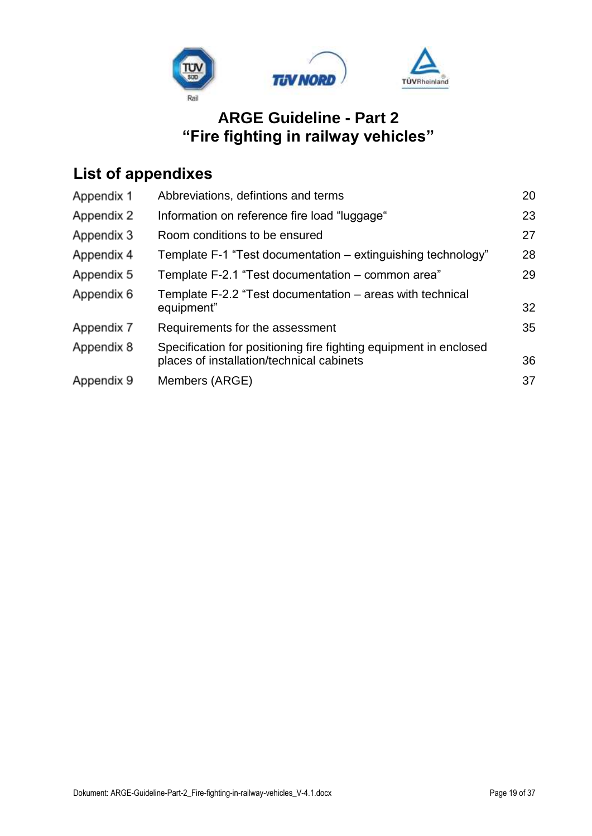

# **List of appendixes**

| Appendix 1 | Abbreviations, defintions and terms                                                                            | 20 |
|------------|----------------------------------------------------------------------------------------------------------------|----|
| Appendix 2 | Information on reference fire load "luggage"                                                                   | 23 |
| Appendix 3 | Room conditions to be ensured                                                                                  | 27 |
| Appendix 4 | Template F-1 "Test documentation – extinguishing technology"                                                   | 28 |
| Appendix 5 | Template F-2.1 "Test documentation – common area"                                                              | 29 |
| Appendix 6 | Template F-2.2 "Test documentation – areas with technical<br>equipment"                                        | 32 |
| Appendix 7 | Requirements for the assessment                                                                                | 35 |
| Appendix 8 | Specification for positioning fire fighting equipment in enclosed<br>places of installation/technical cabinets | 36 |
| Appendix 9 | Members (ARGE)                                                                                                 | 37 |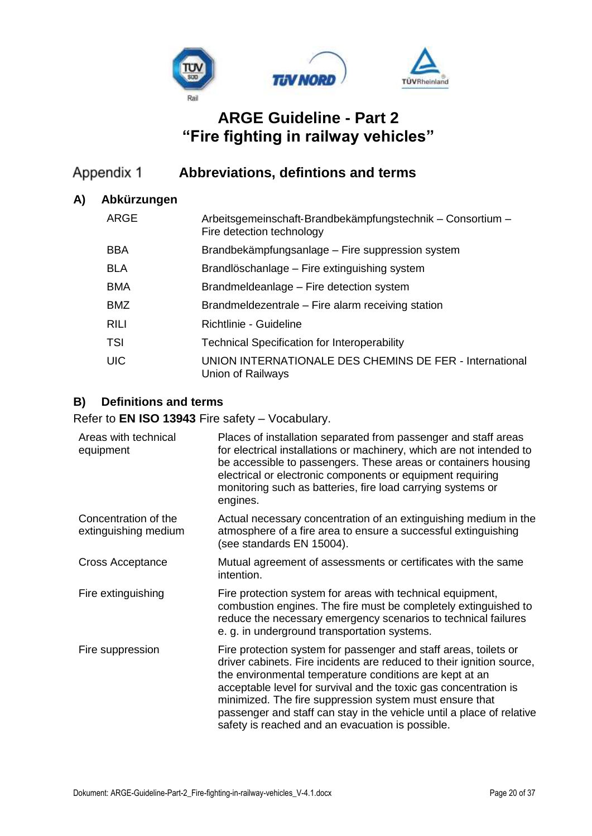

#### <span id="page-19-0"></span>Appendix 1 **Abbreviations, defintions and terms**

#### **A) Abkürzungen**

| ARGE        | Arbeitsgemeinschaft-Brandbekämpfungstechnik – Consortium –<br>Fire detection technology |
|-------------|-----------------------------------------------------------------------------------------|
| <b>BBA</b>  | Brandbekämpfungsanlage – Fire suppression system                                        |
| <b>BLA</b>  | Brandlöschanlage – Fire extinguishing system                                            |
| <b>BMA</b>  | Brandmeldeanlage - Fire detection system                                                |
| <b>BMZ</b>  | Brandmeldezentrale – Fire alarm receiving station                                       |
| <b>RILI</b> | Richtlinie - Guideline                                                                  |
| <b>TSI</b>  | <b>Technical Specification for Interoperability</b>                                     |
| <b>UIC</b>  | UNION INTERNATIONALE DES CHEMINS DE FER - International<br>Union of Railways            |

#### **B) Definitions and terms**

Refer to **EN ISO 13943** Fire safety – Vocabulary.

| Areas with technical<br>equipment            | Places of installation separated from passenger and staff areas<br>for electrical installations or machinery, which are not intended to<br>be accessible to passengers. These areas or containers housing<br>electrical or electronic components or equipment requiring<br>monitoring such as batteries, fire load carrying systems or<br>engines.                                                                                                               |
|----------------------------------------------|------------------------------------------------------------------------------------------------------------------------------------------------------------------------------------------------------------------------------------------------------------------------------------------------------------------------------------------------------------------------------------------------------------------------------------------------------------------|
| Concentration of the<br>extinguishing medium | Actual necessary concentration of an extinguishing medium in the<br>atmosphere of a fire area to ensure a successful extinguishing<br>(see standards EN 15004).                                                                                                                                                                                                                                                                                                  |
| Cross Acceptance                             | Mutual agreement of assessments or certificates with the same<br>intention.                                                                                                                                                                                                                                                                                                                                                                                      |
| Fire extinguishing                           | Fire protection system for areas with technical equipment,<br>combustion engines. The fire must be completely extinguished to<br>reduce the necessary emergency scenarios to technical failures<br>e. g. in underground transportation systems.                                                                                                                                                                                                                  |
| Fire suppression                             | Fire protection system for passenger and staff areas, toilets or<br>driver cabinets. Fire incidents are reduced to their ignition source,<br>the environmental temperature conditions are kept at an<br>acceptable level for survival and the toxic gas concentration is<br>minimized. The fire suppression system must ensure that<br>passenger and staff can stay in the vehicle until a place of relative<br>safety is reached and an evacuation is possible. |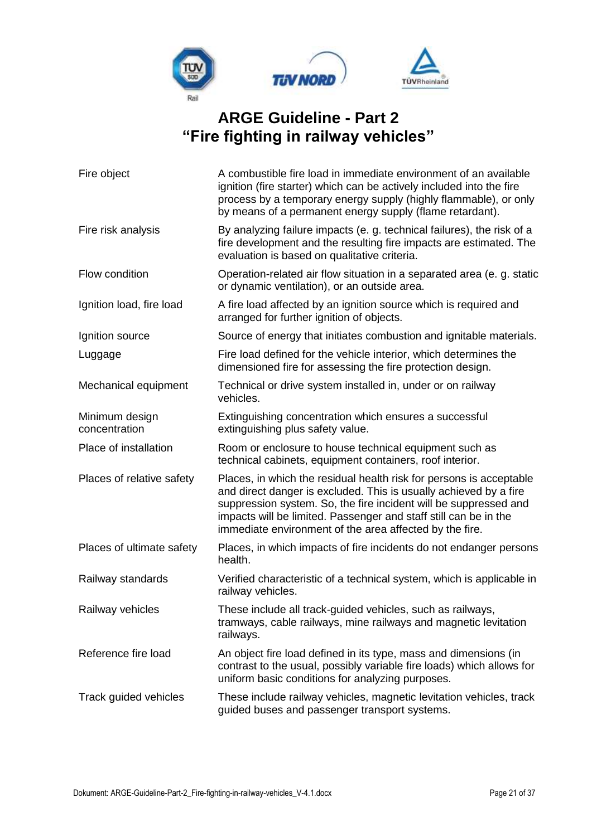

| Fire object                     | A combustible fire load in immediate environment of an available<br>ignition (fire starter) which can be actively included into the fire<br>process by a temporary energy supply (highly flammable), or only<br>by means of a permanent energy supply (flame retardant).                                                                    |  |
|---------------------------------|---------------------------------------------------------------------------------------------------------------------------------------------------------------------------------------------------------------------------------------------------------------------------------------------------------------------------------------------|--|
| Fire risk analysis              | By analyzing failure impacts (e. g. technical failures), the risk of a<br>fire development and the resulting fire impacts are estimated. The<br>evaluation is based on qualitative criteria.                                                                                                                                                |  |
| Flow condition                  | Operation-related air flow situation in a separated area (e. g. static<br>or dynamic ventilation), or an outside area.                                                                                                                                                                                                                      |  |
| Ignition load, fire load        | A fire load affected by an ignition source which is required and<br>arranged for further ignition of objects.                                                                                                                                                                                                                               |  |
| Ignition source                 | Source of energy that initiates combustion and ignitable materials.                                                                                                                                                                                                                                                                         |  |
| Luggage                         | Fire load defined for the vehicle interior, which determines the<br>dimensioned fire for assessing the fire protection design.                                                                                                                                                                                                              |  |
| Mechanical equipment            | Technical or drive system installed in, under or on railway<br>vehicles.                                                                                                                                                                                                                                                                    |  |
| Minimum design<br>concentration | Extinguishing concentration which ensures a successful<br>extinguishing plus safety value.                                                                                                                                                                                                                                                  |  |
| Place of installation           | Room or enclosure to house technical equipment such as<br>technical cabinets, equipment containers, roof interior.                                                                                                                                                                                                                          |  |
| Places of relative safety       | Places, in which the residual health risk for persons is acceptable<br>and direct danger is excluded. This is usually achieved by a fire<br>suppression system. So, the fire incident will be suppressed and<br>impacts will be limited. Passenger and staff still can be in the<br>immediate environment of the area affected by the fire. |  |
| Places of ultimate safety       | Places, in which impacts of fire incidents do not endanger persons<br>health.                                                                                                                                                                                                                                                               |  |
| Railway standards               | Verified characteristic of a technical system, which is applicable in<br>railway vehicles.                                                                                                                                                                                                                                                  |  |
| Railway vehicles                | These include all track-guided vehicles, such as railways,<br>tramways, cable railways, mine railways and magnetic levitation<br>railways.                                                                                                                                                                                                  |  |
| Reference fire load             | An object fire load defined in its type, mass and dimensions (in<br>contrast to the usual, possibly variable fire loads) which allows for<br>uniform basic conditions for analyzing purposes.                                                                                                                                               |  |
| Track guided vehicles           | These include railway vehicles, magnetic levitation vehicles, track<br>guided buses and passenger transport systems.                                                                                                                                                                                                                        |  |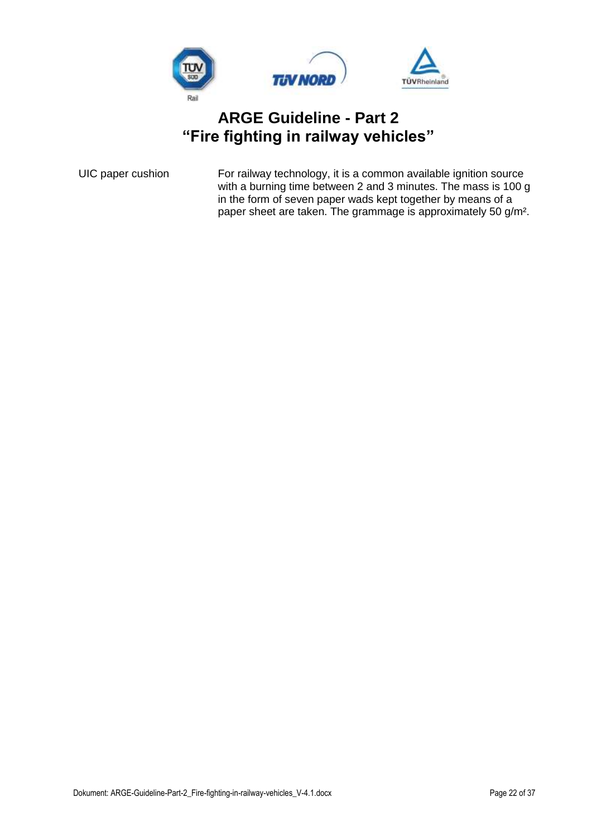

UIC paper cushion For railway technology, it is a common available ignition source with a burning time between 2 and 3 minutes. The mass is 100 g in the form of seven paper wads kept together by means of a paper sheet are taken. The grammage is approximately 50 g/m².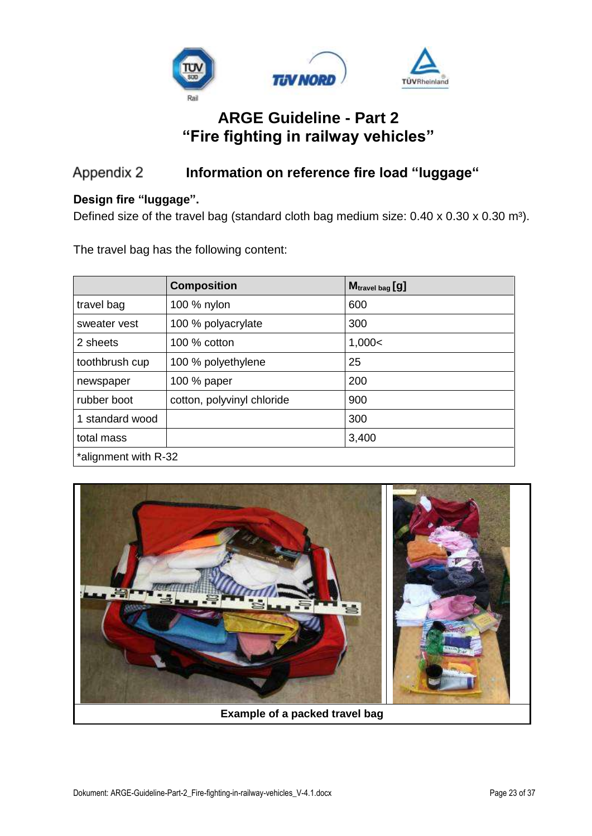

#### <span id="page-22-0"></span>**Information on reference fire load "luggage"** Appendix 2

#### **Design fire "luggage".**

Defined size of the travel bag (standard cloth bag medium size:  $0.40 \times 0.30 \times 0.30$  m<sup>3</sup>).

The travel bag has the following content:

|                      | <b>Composition</b>         | M <sub>travel bag</sub> [9] |  |  |  |
|----------------------|----------------------------|-----------------------------|--|--|--|
| travel bag           | 100 % nylon                | 600                         |  |  |  |
| sweater vest         | 100 % polyacrylate         | 300                         |  |  |  |
| 2 sheets             | 100 $%$ cotton             | 1,000<                      |  |  |  |
| toothbrush cup       | 100 % polyethylene         | 25                          |  |  |  |
| newspaper            | 100 % paper                | 200                         |  |  |  |
| rubber boot          | cotton, polyvinyl chloride | 900                         |  |  |  |
| 1 standard wood      |                            | 300                         |  |  |  |
| total mass           |                            | 3,400                       |  |  |  |
| *alignment with R-32 |                            |                             |  |  |  |

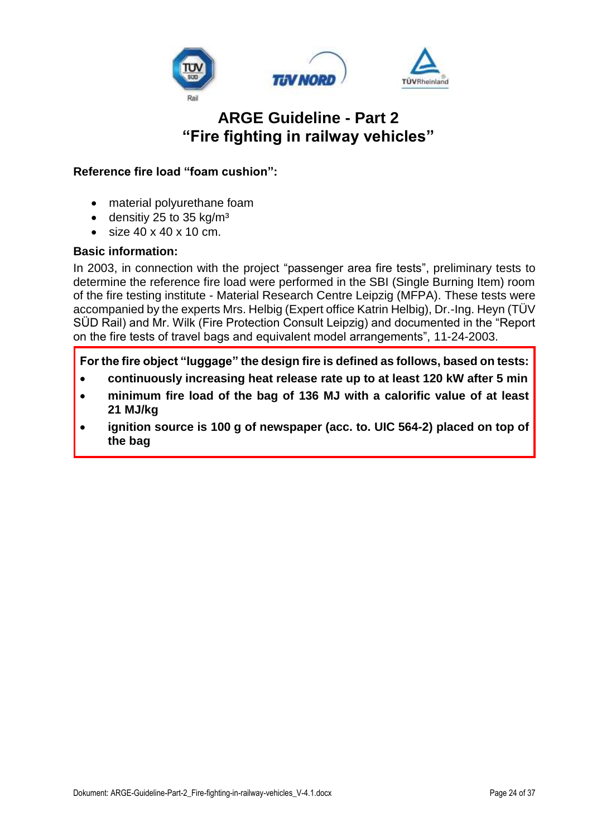

#### **Reference fire load "foam cushion":**

- material polyurethane foam
- densitiy 25 to 35 kg/m<sup>3</sup>
- size 40 x 40 x 10 cm.

#### **Basic information:**

In 2003, in connection with the project "passenger area fire tests", preliminary tests to determine the reference fire load were performed in the SBI (Single Burning Item) room of the fire testing institute - Material Research Centre Leipzig (MFPA). These tests were accompanied by the experts Mrs. Helbig (Expert office Katrin Helbig), Dr.-Ing. Heyn (TÜV SÜD Rail) and Mr. Wilk (Fire Protection Consult Leipzig) and documented in the "Report on the fire tests of travel bags and equivalent model arrangements", 11-24-2003.

**For the fire object "luggage" the design fire is defined as follows, based on tests:**

- **continuously increasing heat release rate up to at least 120 kW after 5 min**
- **minimum fire load of the bag of 136 MJ with a calorific value of at least 21 MJ/kg**
- **ignition source is 100 g of newspaper (acc. to. UIC 564-2) placed on top of the bag**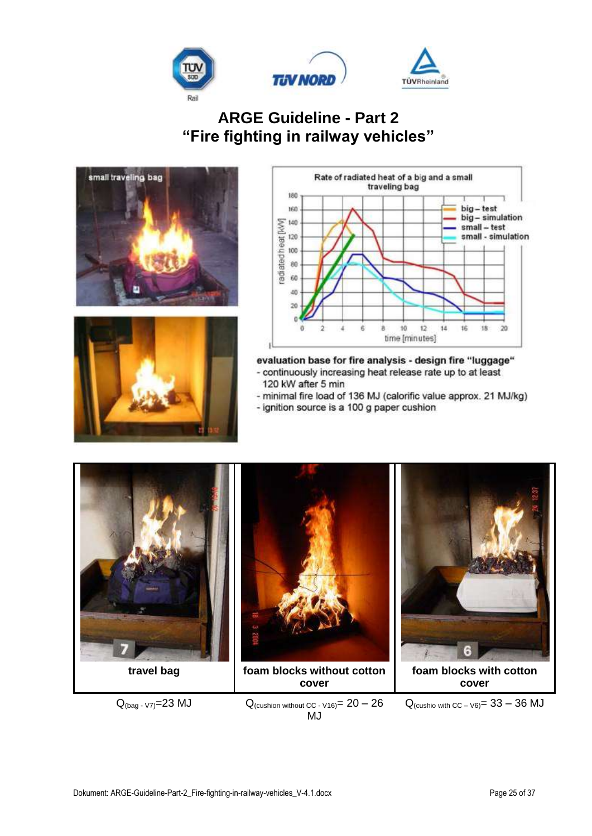







evaluation base for fire analysis - design fire "luggage" - continuously increasing heat release rate up to at least 120 kW after 5 min

- minimal fire load of 136 MJ (calorific value approx. 21 MJ/kg)

- ignition source is a 100 g paper cushion



 $Q_{(bag - V7)} = 23 \text{ MJ}$   $Q_{(custhion without CC - V16)} = 20 - 26$ MJ

 $Q_{(cushio with CC - V6)} = 33 - 36$  MJ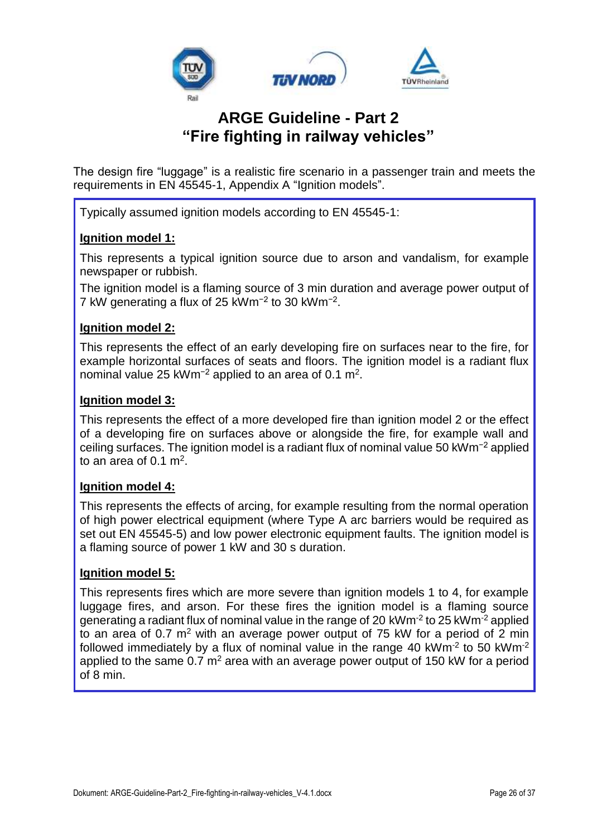

The design fire "luggage" is a realistic fire scenario in a passenger train and meets the requirements in EN 45545-1, Appendix A "Ignition models".

Typically assumed ignition models according to EN 45545-1:

#### **Ignition model 1:**

This represents a typical ignition source due to arson and vandalism, for example newspaper or rubbish.

The ignition model is a flaming source of 3 min duration and average power output of 7 kW generating a flux of 25 kWm−2 to 30 kWm−2 .

#### **Ignition model 2:**

This represents the effect of an early developing fire on surfaces near to the fire, for example horizontal surfaces of seats and floors. The ignition model is a radiant flux nominal value 25 kWm<sup>-2</sup> applied to an area of 0.1 m<sup>2</sup>.

#### **Ignition model 3:**

This represents the effect of a more developed fire than ignition model 2 or the effect of a developing fire on surfaces above or alongside the fire, for example wall and ceiling surfaces. The ignition model is a radiant flux of nominal value 50 kWm−2 applied to an area of  $0.1 \text{ m}^2$ .

#### **Ignition model 4:**

This represents the effects of arcing, for example resulting from the normal operation of high power electrical equipment (where Type A arc barriers would be required as set out EN 45545-5) and low power electronic equipment faults. The ignition model is a flaming source of power 1 kW and 30 s duration.

#### **Ignition model 5:**

This represents fires which are more severe than ignition models 1 to 4, for example luggage fires, and arson. For these fires the ignition model is a flaming source generating a radiant flux of nominal value in the range of 20 kWm<sup>-2</sup> to 25 kWm<sup>-2</sup> applied to an area of 0.7  $m^2$  with an average power output of 75 kW for a period of 2 min followed immediately by a flux of nominal value in the range 40 kWm<sup>-2</sup> to 50 kWm<sup>-2</sup> applied to the same  $0.7 \text{ m}^2$  area with an average power output of 150 kW for a period of 8 min.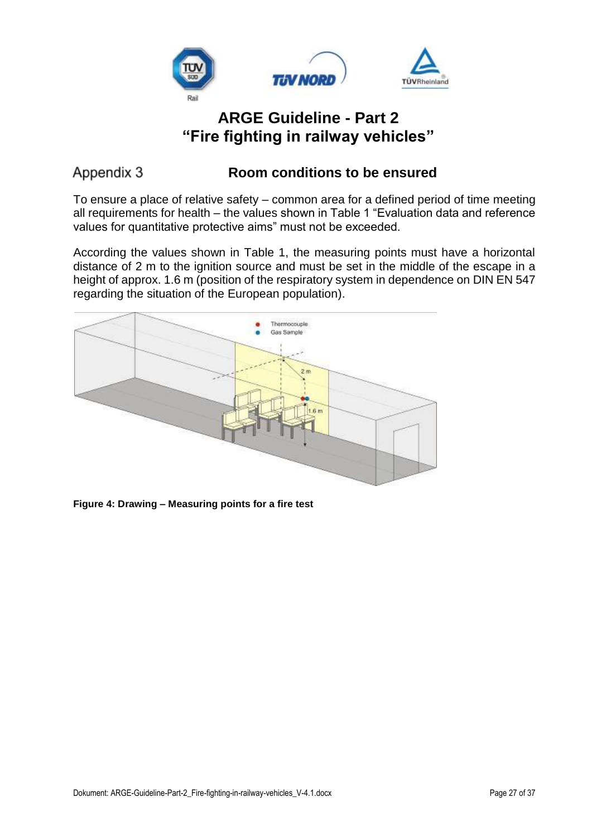

### <span id="page-26-0"></span>Appendix 3

### **Room conditions to be ensured**

To ensure a place of relative safety – common area for a defined period of time meeting all requirements for health – the values shown in Table 1 "Evaluation data and reference values for quantitative protective aims" must not be exceeded.

According the values shown in Table 1, the measuring points must have a horizontal distance of 2 m to the ignition source and must be set in the middle of the escape in a height of approx. 1.6 m (position of the respiratory system in dependence on DIN EN 547 regarding the situation of the European population).



**Figure 4: Drawing – Measuring points for a fire test**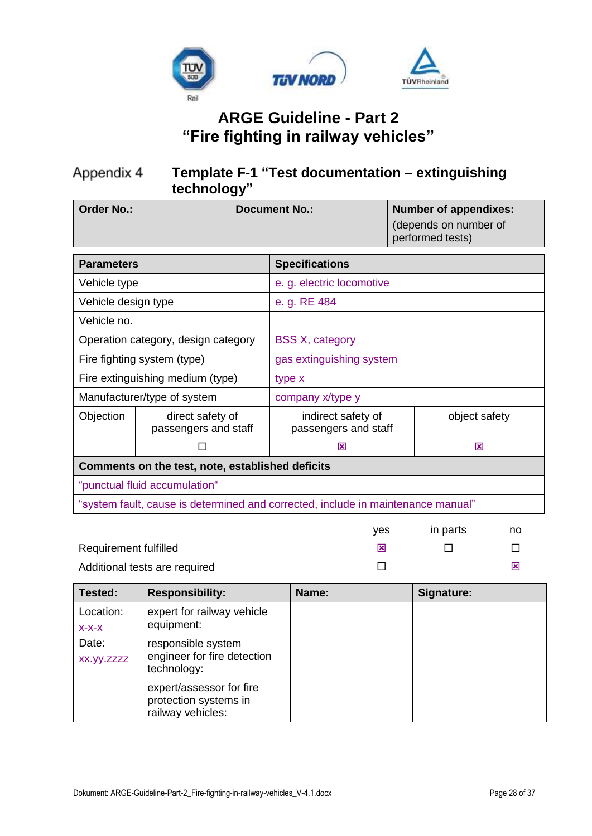

#### <span id="page-27-0"></span>Appendix 4 **Template F-1 "Test documentation – extinguishing technology"**

| <b>Order No.:</b>                                     |                                                                                  |                                            | <b>Document No.:</b>      |               | <b>Number of appendixes:</b><br>(depends on number of<br>performed tests) |
|-------------------------------------------------------|----------------------------------------------------------------------------------|--------------------------------------------|---------------------------|---------------|---------------------------------------------------------------------------|
| <b>Parameters</b>                                     |                                                                                  | <b>Specifications</b>                      |                           |               |                                                                           |
| Vehicle type                                          |                                                                                  |                                            | e. g. electric locomotive |               |                                                                           |
| Vehicle design type                                   |                                                                                  |                                            | e. g. RE 484              |               |                                                                           |
| Vehicle no.                                           |                                                                                  |                                            |                           |               |                                                                           |
|                                                       | Operation category, design category                                              |                                            | <b>BSS X, category</b>    |               |                                                                           |
|                                                       | Fire fighting system (type)                                                      |                                            | gas extinguishing system  |               |                                                                           |
| Fire extinguishing medium (type)                      |                                                                                  | type x                                     |                           |               |                                                                           |
|                                                       | Manufacturer/type of system                                                      |                                            | company x/type y          |               |                                                                           |
| Objection<br>direct safety of<br>passengers and staff |                                                                                  | indirect safety of<br>passengers and staff |                           | object safety |                                                                           |
|                                                       |                                                                                  | ⊠                                          |                           | 図             |                                                                           |
| Comments on the test, note, established deficits      |                                                                                  |                                            |                           |               |                                                                           |
| "punctual fluid accumulation"                         |                                                                                  |                                            |                           |               |                                                                           |
|                                                       | "system fault, cause is determined and corrected, include in maintenance manual" |                                            |                           |               |                                                                           |
|                                                       |                                                                                  |                                            |                           | 1/22          | $in$ norto<br>no                                                          |

|                               | ves | in parts | no |
|-------------------------------|-----|----------|----|
| <b>Requirement fulfilled</b>  |     |          |    |
| Additional tests are required |     |          |    |

| Tested:              | <b>Responsibility:</b>                                                 | Name: | Signature: |
|----------------------|------------------------------------------------------------------------|-------|------------|
| Location:<br>$X-X-X$ | expert for railway vehicle<br>equipment:                               |       |            |
| Date:<br>XX.yy.zzzz  | responsible system<br>engineer for fire detection<br>technology:       |       |            |
|                      | expert/assessor for fire<br>protection systems in<br>railway vehicles: |       |            |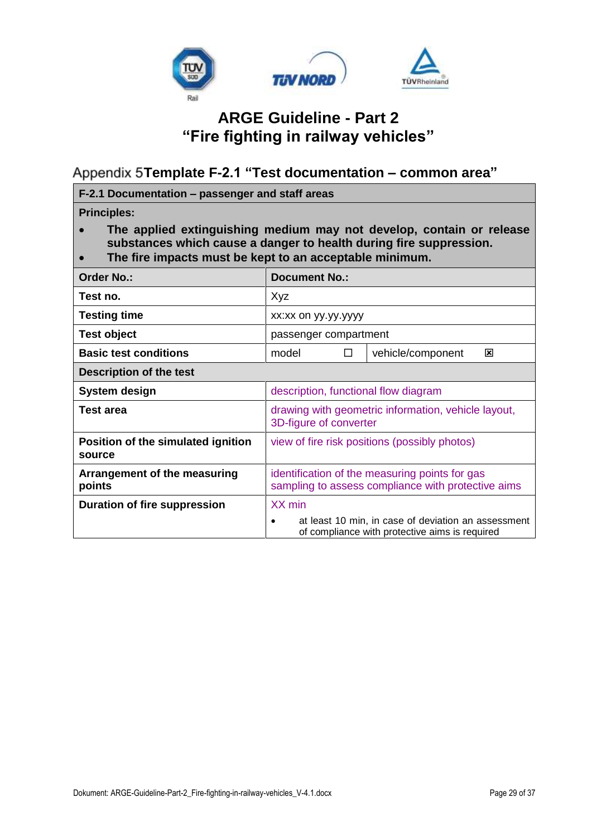

<span id="page-28-0"></span>**Template F-2.1 "Test documentation – common area"**

**F-2.1 Documentation – passenger and staff areas Principles:** • **The applied extinguishing medium may not develop, contain or release substances which cause a danger to health during fire suppression.** • **The fire impacts must be kept to an acceptable minimum. Order No.: Document No.:** Test no.  $\vert$  Xyz **Testing time**  $\vert$  xx:xx on yy.yy.yyyy **Test object** passenger compartment **Basic test conditions different n** and **n** model **D vehicle/component ⊠ Description of the test System design** description, functional flow diagram **Test area** drawing with geometric information, vehicle layout, 3D-figure of converter **Position of the simulated ignition source** view of fire risk positions (possibly photos) **Arrangement of the measuring points** identification of the measuring points for gas sampling to assess compliance with protective aims **Duration of fire suppression** XX min • at least 10 min, in case of deviation an assessment of compliance with protective aims is required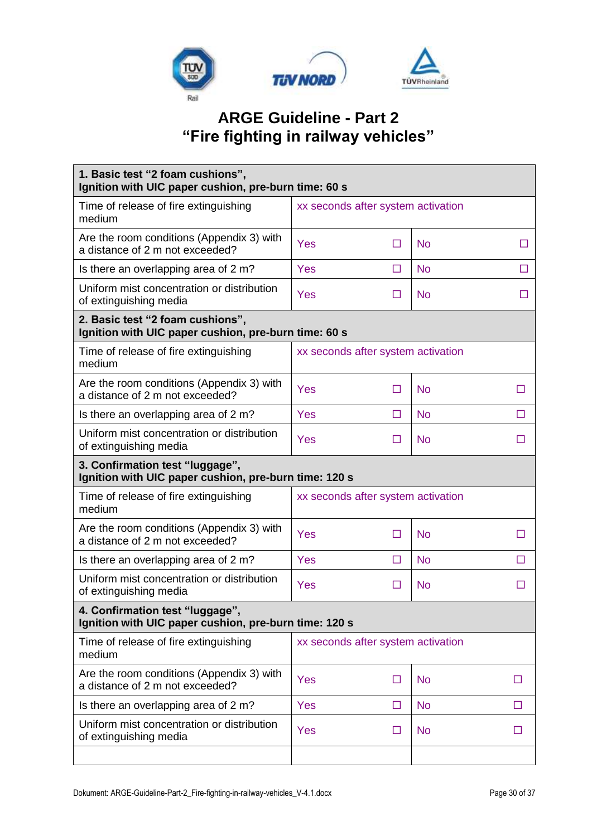

| 1. Basic test "2 foam cushions",<br>Ignition with UIC paper cushion, pre-burn time: 60 s |                                    |        |           |   |  |
|------------------------------------------------------------------------------------------|------------------------------------|--------|-----------|---|--|
| Time of release of fire extinguishing<br>medium                                          | xx seconds after system activation |        |           |   |  |
| Are the room conditions (Appendix 3) with<br>a distance of 2 m not exceeded?             | Yes                                | $\Box$ | <b>No</b> | п |  |
| Is there an overlapping area of 2 m?                                                     | Yes                                | □      | <b>No</b> | П |  |
| Uniform mist concentration or distribution<br>of extinguishing media                     | Yes                                | □      | <b>No</b> | П |  |
| 2. Basic test "2 foam cushions",<br>Ignition with UIC paper cushion, pre-burn time: 60 s |                                    |        |           |   |  |
| Time of release of fire extinguishing<br>medium                                          | xx seconds after system activation |        |           |   |  |
| Are the room conditions (Appendix 3) with<br>a distance of 2 m not exceeded?             | Yes                                | □      | <b>No</b> | Π |  |
| Is there an overlapping area of 2 m?                                                     | Yes<br><b>No</b><br>□<br>П         |        |           |   |  |
| Uniform mist concentration or distribution<br>of extinguishing media                     | Yes                                | □      | <b>No</b> | П |  |
| 3. Confirmation test "luggage",<br>Ignition with UIC paper cushion, pre-burn time: 120 s |                                    |        |           |   |  |
| Time of release of fire extinguishing<br>medium                                          | xx seconds after system activation |        |           |   |  |
| Are the room conditions (Appendix 3) with<br>a distance of 2 m not exceeded?             | Yes                                | $\Box$ | <b>No</b> | Ш |  |
| Is there an overlapping area of 2 m?                                                     | Yes                                | $\Box$ | <b>No</b> | □ |  |
| Uniform mist concentration or distribution<br>of extinguishing media                     | Yes                                | ⊔      | <b>No</b> |   |  |
| 4. Confirmation test "luggage"<br>Ignition with UIC paper cushion, pre-burn time: 120 s  |                                    |        |           |   |  |
| Time of release of fire extinguishing<br>medium                                          | xx seconds after system activation |        |           |   |  |
| Are the room conditions (Appendix 3) with<br>a distance of 2 m not exceeded?             | Yes                                | □      | <b>No</b> | □ |  |
| Is there an overlapping area of 2 m?                                                     | Yes                                | □      | <b>No</b> | □ |  |
| Uniform mist concentration or distribution<br>of extinguishing media                     | Yes<br><b>No</b><br>□<br>ш         |        |           |   |  |
|                                                                                          |                                    |        |           |   |  |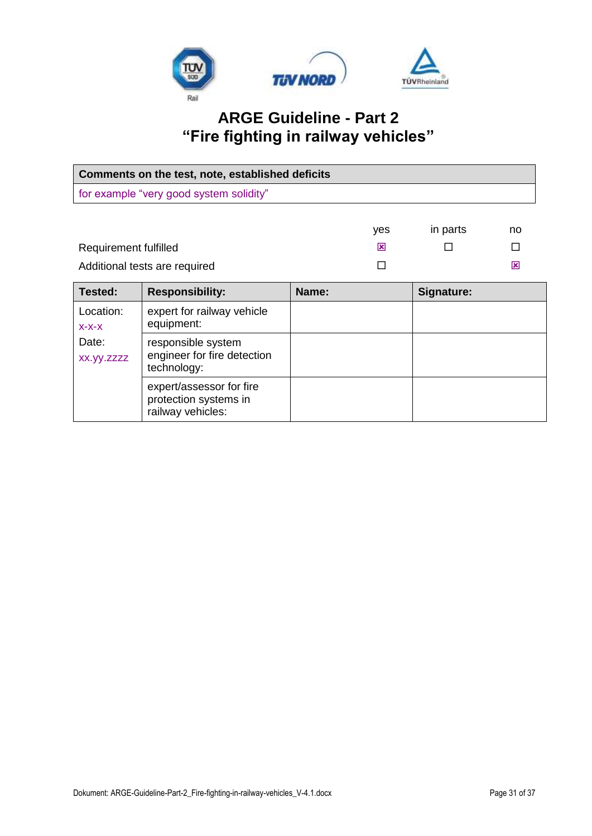

| Comments on the test, note, established deficits |                                            |       |     |            |    |
|--------------------------------------------------|--------------------------------------------|-------|-----|------------|----|
| for example "very good system solidity"          |                                            |       |     |            |    |
|                                                  |                                            |       |     |            |    |
|                                                  |                                            |       | yes | in parts   | no |
| Requirement fulfilled                            |                                            |       | 図   |            |    |
| Additional tests are required                    |                                            |       |     |            | ⊠  |
|                                                  |                                            |       |     |            |    |
| Tested:                                          | <b>Responsibility:</b>                     | Name: |     | Signature: |    |
| Location:                                        | expert for railway vehicle                 |       |     |            |    |
| $X-X-X$                                          | equipment:                                 |       |     |            |    |
| Date:                                            | responsible system                         |       |     |            |    |
| XX.yy.zzzz                                       | engineer for fire detection<br>technology: |       |     |            |    |

expert/assessor for fire protection systems in railway vehicles: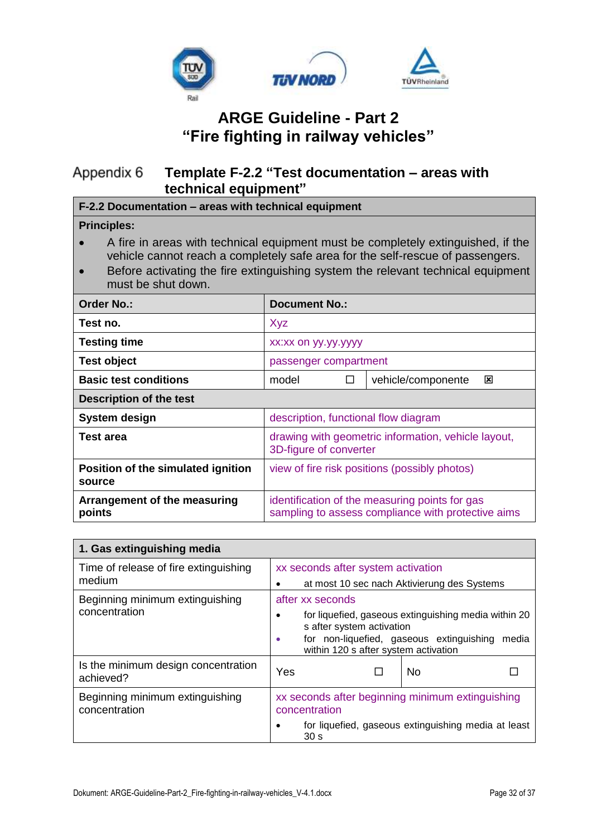

#### <span id="page-31-0"></span>**Template F-2.2 "Test documentation – areas with**  Appendix 6 **technical equipment"**

**F-2.2 Documentation – areas with technical equipment**

#### **Principles:**

- A fire in areas with technical equipment must be completely extinguished, if the vehicle cannot reach a completely safe area for the self-rescue of passengers.
- Before activating the fire extinguishing system the relevant technical equipment must be shut down.

| Order No.:                                   | <b>Document No.:</b>                                                                                 |  |  |  |
|----------------------------------------------|------------------------------------------------------------------------------------------------------|--|--|--|
| Test no.                                     | Xyz                                                                                                  |  |  |  |
| <b>Testing time</b>                          | xx:xx on yy.yy.yyyy                                                                                  |  |  |  |
| <b>Test object</b>                           | passenger compartment                                                                                |  |  |  |
| <b>Basic test conditions</b>                 | vehicle/componente<br>model<br>⊠<br>П                                                                |  |  |  |
| <b>Description of the test</b>               |                                                                                                      |  |  |  |
| System design                                | description, functional flow diagram                                                                 |  |  |  |
| <b>Test area</b>                             | drawing with geometric information, vehicle layout,<br>3D-figure of converter                        |  |  |  |
| Position of the simulated ignition<br>source | view of fire risk positions (possibly photos)                                                        |  |  |  |
| Arrangement of the measuring<br>points       | identification of the measuring points for gas<br>sampling to assess compliance with protective aims |  |  |  |

| 1. Gas extinguishing media                       |                                                                                                                                                                                             |                                                                        |           |  |
|--------------------------------------------------|---------------------------------------------------------------------------------------------------------------------------------------------------------------------------------------------|------------------------------------------------------------------------|-----------|--|
| Time of release of fire extinguishing<br>medium  | xx seconds after system activation<br>at most 10 sec nach Aktivierung des Systems                                                                                                           |                                                                        |           |  |
|                                                  |                                                                                                                                                                                             |                                                                        |           |  |
| Beginning minimum extinguishing                  | after xx seconds                                                                                                                                                                            |                                                                        |           |  |
| concentration                                    | for liquefied, gaseous extinguishing media within 20<br>s after system activation<br>for non-liquefied, gaseous extinguishing<br>media<br>$\bullet$<br>within 120 s after system activation |                                                                        |           |  |
| Is the minimum design concentration<br>achieved? | Yes                                                                                                                                                                                         |                                                                        | <b>No</b> |  |
| Beginning minimum extinguishing<br>concentration | xx seconds after beginning minimum extinguishing<br>concentration                                                                                                                           |                                                                        |           |  |
|                                                  |                                                                                                                                                                                             | for liquefied, gaseous extinguishing media at least<br>30 <sub>s</sub> |           |  |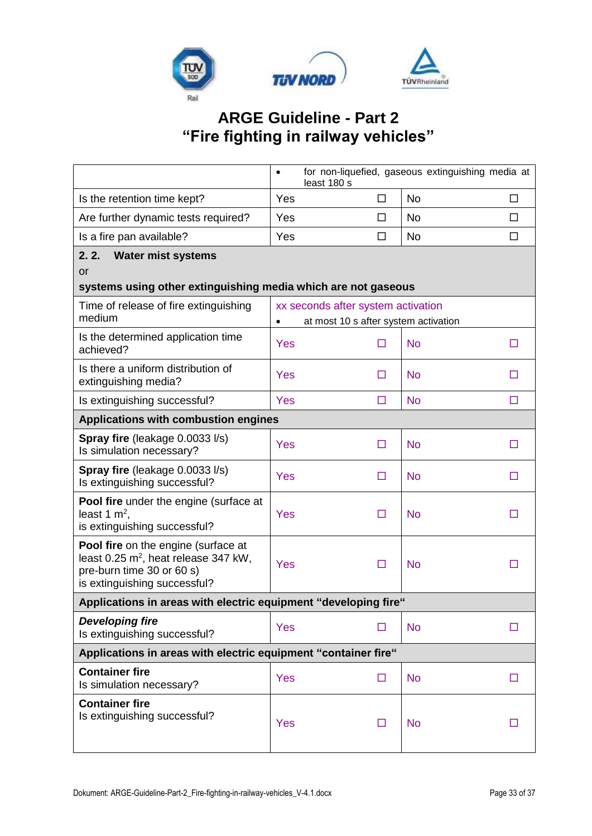

|                                                                                                                                                      | for non-liquefied, gaseous extinguishing media at<br>$\bullet$<br>least 180 s |                                                |           |        |  |
|------------------------------------------------------------------------------------------------------------------------------------------------------|-------------------------------------------------------------------------------|------------------------------------------------|-----------|--------|--|
| Is the retention time kept?                                                                                                                          | Yes                                                                           | □                                              | <b>No</b> | □      |  |
| Are further dynamic tests required?                                                                                                                  | Yes                                                                           | $\Box$                                         | <b>No</b> | □      |  |
| Is a fire pan available?                                                                                                                             | Yes                                                                           | $\Box$                                         | <b>No</b> | $\Box$ |  |
| <b>Water mist systems</b><br>2.2.<br><b>or</b><br>systems using other extinguishing media which are not gaseous                                      |                                                                               |                                                |           |        |  |
| Time of release of fire extinguishing<br>medium                                                                                                      |                                                                               | xx seconds after system activation             |           |        |  |
| Is the determined application time<br>achieved?                                                                                                      | $\bullet$<br>Yes                                                              | at most 10 s after system activation<br>$\Box$ | <b>No</b> | □      |  |
| Is there a uniform distribution of<br>extinguishing media?                                                                                           | <b>Yes</b>                                                                    | $\Box$                                         | <b>No</b> | □      |  |
| Is extinguishing successful?                                                                                                                         | <b>Yes</b>                                                                    | $\Box$                                         | <b>No</b> | □      |  |
| Applications with combustion engines                                                                                                                 |                                                                               |                                                |           |        |  |
| Spray fire (leakage 0.0033 l/s)<br>Is simulation necessary?                                                                                          | Yes                                                                           | $\Box$                                         | <b>No</b> | □      |  |
| Spray fire (leakage 0.0033 l/s)<br>Is extinguishing successful?                                                                                      | <b>Yes</b>                                                                    | $\Box$                                         | <b>No</b> | □      |  |
| <b>Pool fire</b> under the engine (surface at<br>least 1 $m^2$ ,<br>is extinguishing successful?                                                     | Yes                                                                           | □                                              | <b>No</b> | П      |  |
| Pool fire on the engine (surface at<br>least 0.25 m <sup>2</sup> , heat release 347 kW,<br>pre-burn time 30 or 60 s)<br>is extinguishing successful? | Yes                                                                           | □                                              | <b>No</b> | □      |  |
| Applications in areas with electric equipment "developing fire"                                                                                      |                                                                               |                                                |           |        |  |
| <b>Developing fire</b><br>Is extinguishing successful?                                                                                               | <b>Yes</b>                                                                    | Ш                                              | <b>No</b> | П      |  |
| Applications in areas with electric equipment "container fire"                                                                                       |                                                                               |                                                |           |        |  |
| <b>Container fire</b><br>Is simulation necessary?                                                                                                    | <b>Yes</b>                                                                    | □                                              | <b>No</b> | □      |  |
| <b>Container fire</b><br>Is extinguishing successful?                                                                                                | <b>Yes</b>                                                                    | $\Box$                                         | <b>No</b> | ш      |  |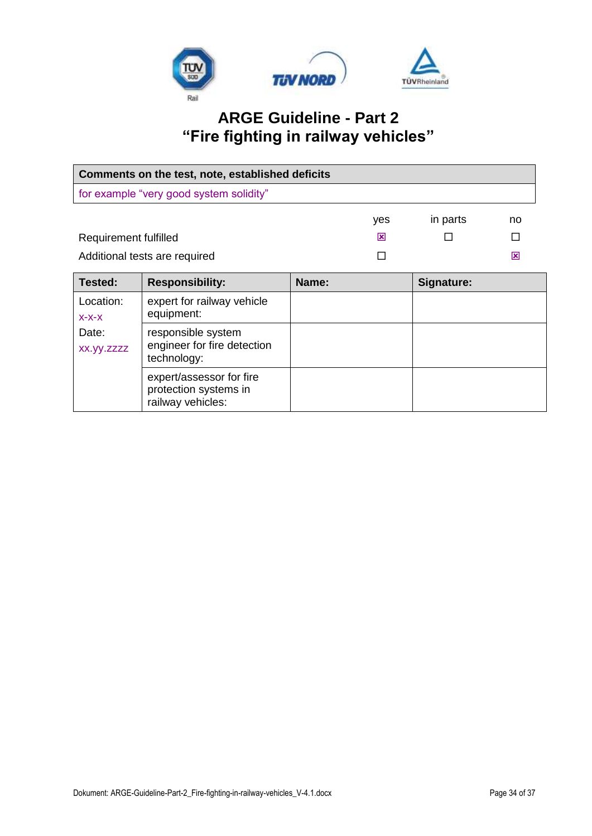

| Comments on the test, note, established deficits |                                                                        |       |     |            |    |
|--------------------------------------------------|------------------------------------------------------------------------|-------|-----|------------|----|
|                                                  | for example "very good system solidity"                                |       |     |            |    |
|                                                  |                                                                        |       | yes | in parts   | no |
| Requirement fulfilled                            |                                                                        |       | ⊠   |            | П  |
| Additional tests are required                    |                                                                        |       | П   |            | ⊠  |
| Tested:                                          | <b>Responsibility:</b>                                                 | Name: |     | Signature: |    |
| Location:<br>$X-X-X$                             | expert for railway vehicle<br>equipment:                               |       |     |            |    |
| Date:<br>xx.yy.zzzz                              | responsible system<br>engineer for fire detection<br>technology:       |       |     |            |    |
|                                                  | expert/assessor for fire<br>protection systems in<br>railway vehicles: |       |     |            |    |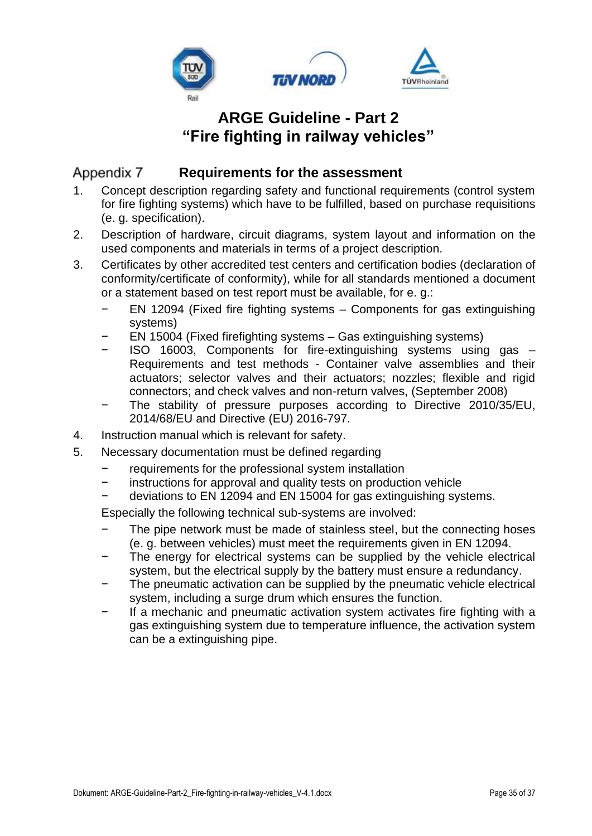

#### <span id="page-34-0"></span>Appendix 7 **Requirements for the assessment**

- 1. Concept description regarding safety and functional requirements (control system for fire fighting systems) which have to be fulfilled, based on purchase requisitions (e. g. specification).
- 2. Description of hardware, circuit diagrams, system layout and information on the used components and materials in terms of a project description.
- 3. Certificates by other accredited test centers and certification bodies (declaration of conformity/certificate of conformity), while for all standards mentioned a document or a statement based on test report must be available, for e. g.:
	- − EN 12094 (Fixed fire fighting systems Components for gas extinguishing systems)
	- − EN 15004 (Fixed firefighting systems Gas extinguishing systems)
	- − ISO 16003, Components for fire-extinguishing systems using gas Requirements and test methods - Container valve assemblies and their actuators; selector valves and their actuators; nozzles; flexible and rigid connectors; and check valves and non-return valves, (September 2008)
	- The stability of pressure purposes according to Directive 2010/35/EU, 2014/68/EU and Directive (EU) 2016-797.
- 4. Instruction manual which is relevant for safety.
- 5. Necessary documentation must be defined regarding
	- requirements for the professional system installation
	- − instructions for approval and quality tests on production vehicle<br>− doviations to EN 12004 and EN 15004 for gas extinguishing sys
	- deviations to EN 12094 and EN 15004 for gas extinguishing systems.

Especially the following technical sub-systems are involved:

- The pipe network must be made of stainless steel, but the connecting hoses (e. g. between vehicles) must meet the requirements given in EN 12094.
- The energy for electrical systems can be supplied by the vehicle electrical system, but the electrical supply by the battery must ensure a redundancy.
- The pneumatic activation can be supplied by the pneumatic vehicle electrical system, including a surge drum which ensures the function.
- If a mechanic and pneumatic activation system activates fire fighting with a gas extinguishing system due to temperature influence, the activation system can be a extinguishing pipe.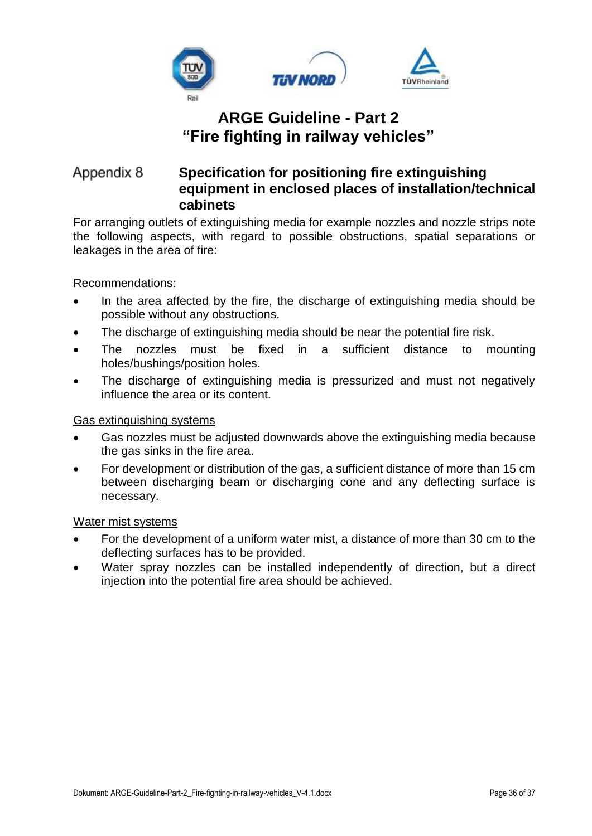

#### <span id="page-35-0"></span>Appendix 8 **Specification for positioning fire extinguishing equipment in enclosed places of installation/technical cabinets**

For arranging outlets of extinguishing media for example nozzles and nozzle strips note the following aspects, with regard to possible obstructions, spatial separations or leakages in the area of fire:

Recommendations:

- In the area affected by the fire, the discharge of extinguishing media should be possible without any obstructions.
- The discharge of extinguishing media should be near the potential fire risk.
- The nozzles must be fixed in a sufficient distance to mounting holes/bushings/position holes.
- The discharge of extinguishing media is pressurized and must not negatively influence the area or its content.

#### Gas extinguishing systems

- Gas nozzles must be adjusted downwards above the extinguishing media because the gas sinks in the fire area.
- For development or distribution of the gas, a sufficient distance of more than 15 cm between discharging beam or discharging cone and any deflecting surface is necessary.

#### Water mist systems

- For the development of a uniform water mist, a distance of more than 30 cm to the deflecting surfaces has to be provided.
- Water spray nozzles can be installed independently of direction, but a direct injection into the potential fire area should be achieved.